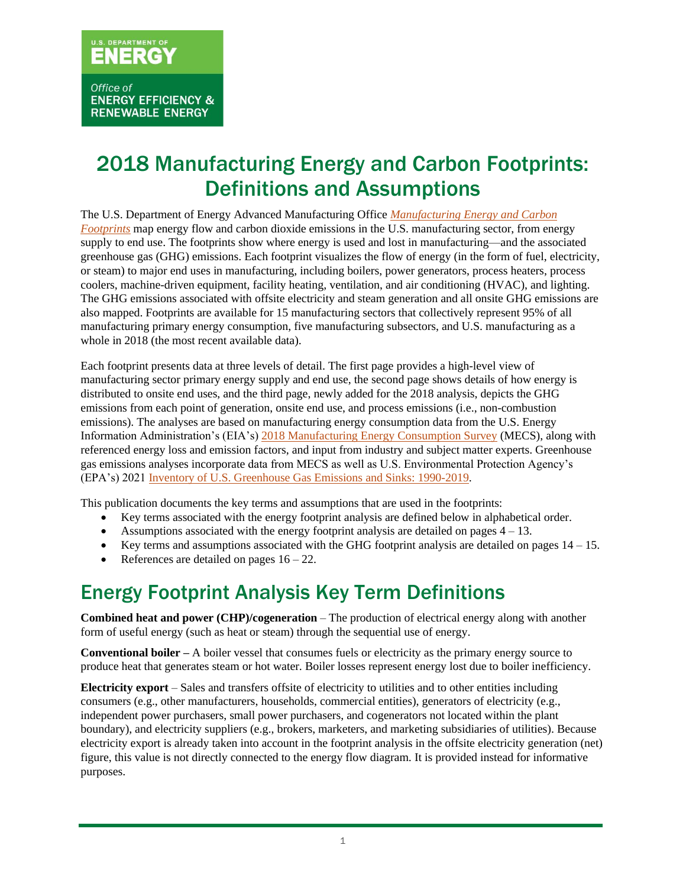### 2018 Manufacturing Energy and Carbon Footprints: Definitions and Assumptions

The U.S. Department of Energy Advanced Manufacturing Office *[Manufacturing Energy and Carbon](https://www.energy.gov/eere/amo/manufacturing-energy-and-carbon-footprints-2018-mecs)  [Footprints](https://www.energy.gov/eere/amo/manufacturing-energy-and-carbon-footprints-2018-mecs)* map energy flow and carbon dioxide emissions in the U.S. manufacturing sector, from energy supply to end use. The footprints show where energy is used and lost in manufacturing—and the associated greenhouse gas (GHG) emissions. Each footprint visualizes the flow of energy (in the form of fuel, electricity, or steam) to major end uses in manufacturing, including boilers, power generators, process heaters, process coolers, machine-driven equipment, facility heating, ventilation, and air conditioning (HVAC), and lighting. The GHG emissions associated with offsite electricity and steam generation and all onsite GHG emissions are also mapped. Footprints are available for 15 manufacturing sectors that collectively represent 95% of all manufacturing primary energy consumption, five manufacturing subsectors, and U.S. manufacturing as a whole in 2018 (the most recent available data).

Each footprint presents data at three levels of detail. The first page provides a high-level view of manufacturing sector primary energy supply and end use, the second page shows details of how energy is distributed to onsite end uses, and the third page, newly added for the 2018 analysis, depicts the GHG emissions from each point of generation, onsite end use, and process emissions (i.e., non-combustion emissions). The analyses are based on manufacturing energy consumption data from the U.S. Energy Information Administration's (EIA's) 2018 [Manufacturing Energy Consumption Survey](https://www.eia.gov/consumption/manufacturing/data/2018/) (MECS), along with referenced energy loss and emission factors, and input from industry and subject matter experts. Greenhouse gas emissions analyses incorporate data from MECS as well as U.S. Environmental Protection Agency's (EPA's) 202[1 Inventory of U.S. Greenhouse Gas Emissions and Sinks: 1990-2019.](https://www.epa.gov/ghgemissions/inventory-us-greenhouse-gas-emissions-and-sinks-1990-2019)

This publication documents the key terms and assumptions that are used in the footprints:

- Key terms associated with the energy footprint analysis are defined below in alphabetical order.
- Assumptions associated with the energy footprint analysis are detailed on pages  $4 13$ .
- Key terms and assumptions associated with the GHG footprint analysis are detailed on pages  $14 15$ .
- References are detailed on pages  $16 22$ .

### Energy Footprint Analysis Key Term Definitions

**Combined heat and power (CHP)/cogeneration** – The production of electrical energy along with another form of useful energy (such as heat or steam) through the sequential use of energy.

**Conventional boiler –** A boiler vessel that consumes fuels or electricity as the primary energy source to produce heat that generates steam or hot water. Boiler losses represent energy lost due to boiler inefficiency.

**Electricity export** – Sales and transfers offsite of electricity to utilities and to other entities including consumers (e.g., other manufacturers, households, commercial entities), generators of electricity (e.g., independent power purchasers, small power purchasers, and cogenerators not located within the plant boundary), and electricity suppliers (e.g., brokers, marketers, and marketing subsidiaries of utilities). Because electricity export is already taken into account in the footprint analysis in the offsite electricity generation (net) figure, this value is not directly connected to the energy flow diagram. It is provided instead for informative purposes.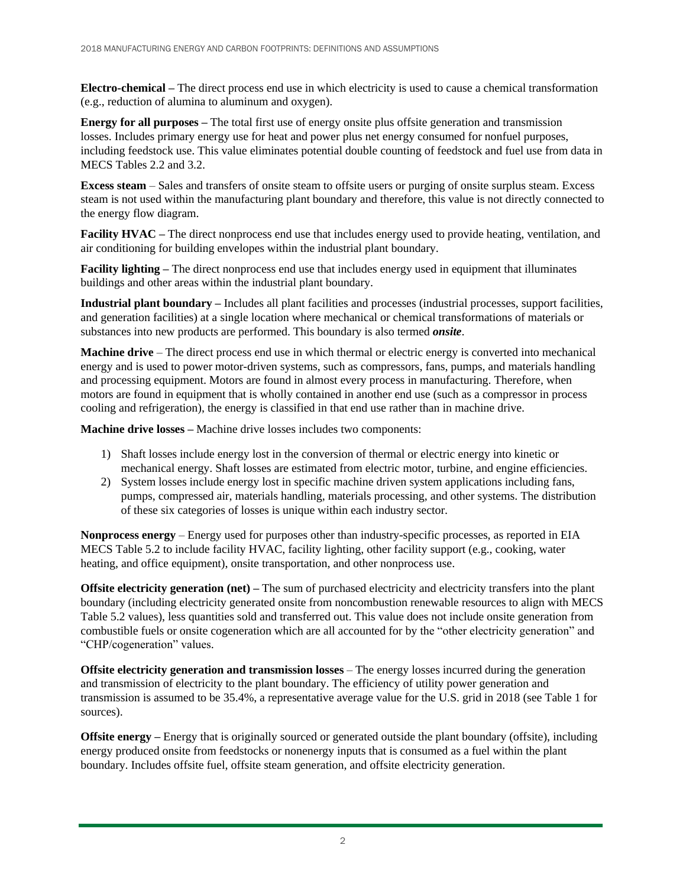**Electro-chemical –** The direct process end use in which electricity is used to cause a chemical transformation (e.g., reduction of alumina to aluminum and oxygen).

**Energy for all purposes –** The total first use of energy onsite plus offsite generation and transmission losses. Includes primary energy use for heat and power plus net energy consumed for nonfuel purposes, including feedstock use. This value eliminates potential double counting of feedstock and fuel use from data in MECS Tables 2.2 and 3.2.

**Excess steam** – Sales and transfers of onsite steam to offsite users or purging of onsite surplus steam. Excess steam is not used within the manufacturing plant boundary and therefore, this value is not directly connected to the energy flow diagram.

**Facility HVAC** – The direct nonprocess end use that includes energy used to provide heating, ventilation, and air conditioning for building envelopes within the industrial plant boundary.

**Facility lighting –** The direct nonprocess end use that includes energy used in equipment that illuminates buildings and other areas within the industrial plant boundary.

**Industrial plant boundary –** Includes all plant facilities and processes (industrial processes, support facilities, and generation facilities) at a single location where mechanical or chemical transformations of materials or substances into new products are performed. This boundary is also termed *onsite*.

**Machine drive** – The direct process end use in which thermal or electric energy is converted into mechanical energy and is used to power motor-driven systems, such as compressors, fans, pumps, and materials handling and processing equipment. Motors are found in almost every process in manufacturing. Therefore, when motors are found in equipment that is wholly contained in another end use (such as a compressor in process cooling and refrigeration), the energy is classified in that end use rather than in machine drive.

**Machine drive losses –** Machine drive losses includes two components:

- 1) Shaft losses include energy lost in the conversion of thermal or electric energy into kinetic or mechanical energy. Shaft losses are estimated from electric motor, turbine, and engine efficiencies.
- 2) System losses include energy lost in specific machine driven system applications including fans, pumps, compressed air, materials handling, materials processing, and other systems. The distribution of these six categories of losses is unique within each industry sector.

**Nonprocess energy** – Energy used for purposes other than industry-specific processes, as reported in EIA MECS Table 5.2 to include facility HVAC, facility lighting, other facility support (e.g., cooking, water heating, and office equipment), onsite transportation, and other nonprocess use.

**Offsite electricity generation (net) –** The sum of purchased electricity and electricity transfers into the plant boundary (including electricity generated onsite from noncombustion renewable resources to align with MECS Table 5.2 values), less quantities sold and transferred out. This value does not include onsite generation from combustible fuels or onsite cogeneration which are all accounted for by the "other electricity generation" and "CHP/cogeneration" values.

**Offsite electricity generation and transmission losses** – The energy losses incurred during the generation and transmission of electricity to the plant boundary. The efficiency of utility power generation and transmission is assumed to be 35.4%, a representative average value for the U.S. grid in 2018 (see [Table](#page-3-0) 1 for sources).

**Offsite energy** – Energy that is originally sourced or generated outside the plant boundary (offsite), including energy produced onsite from feedstocks or nonenergy inputs that is consumed as a fuel within the plant boundary. Includes offsite fuel, offsite steam generation, and offsite electricity generation.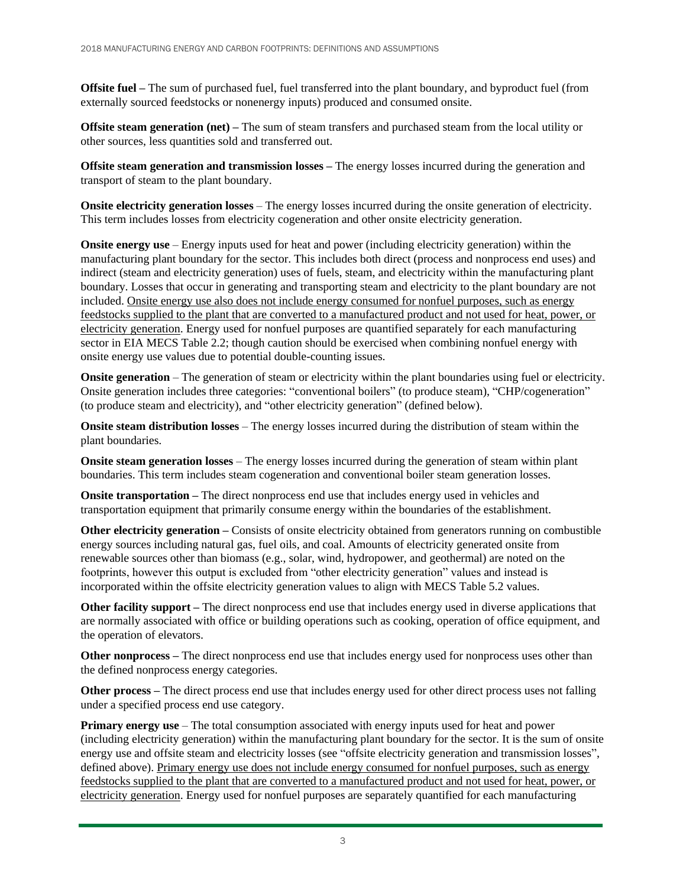**Offsite fuel –** The sum of purchased fuel, fuel transferred into the plant boundary, and byproduct fuel (from externally sourced feedstocks or nonenergy inputs) produced and consumed onsite.

**Offsite steam generation (net) –** The sum of steam transfers and purchased steam from the local utility or other sources, less quantities sold and transferred out.

**Offsite steam generation and transmission losses –** The energy losses incurred during the generation and transport of steam to the plant boundary.

**Onsite electricity generation losses** – The energy losses incurred during the onsite generation of electricity. This term includes losses from electricity cogeneration and other onsite electricity generation.

**Onsite energy use** – Energy inputs used for heat and power (including electricity generation) within the manufacturing plant boundary for the sector. This includes both direct (process and nonprocess end uses) and indirect (steam and electricity generation) uses of fuels, steam, and electricity within the manufacturing plant boundary. Losses that occur in generating and transporting steam and electricity to the plant boundary are not included. Onsite energy use also does not include energy consumed for nonfuel purposes, such as energy feedstocks supplied to the plant that are converted to a manufactured product and not used for heat, power, or electricity generation. Energy used for nonfuel purposes are quantified separately for each manufacturing sector in EIA MECS Table 2.2; though caution should be exercised when combining nonfuel energy with onsite energy use values due to potential double-counting issues.

**Onsite generation** – The generation of steam or electricity within the plant boundaries using fuel or electricity. Onsite generation includes three categories: "conventional boilers" (to produce steam), "CHP/cogeneration" (to produce steam and electricity), and "other electricity generation" (defined below).

**Onsite steam distribution losses** – The energy losses incurred during the distribution of steam within the plant boundaries.

**Onsite steam generation losses** – The energy losses incurred during the generation of steam within plant boundaries. This term includes steam cogeneration and conventional boiler steam generation losses.

**Onsite transportation –** The direct nonprocess end use that includes energy used in vehicles and transportation equipment that primarily consume energy within the boundaries of the establishment.

**Other electricity generation –** Consists of onsite electricity obtained from generators running on combustible energy sources including natural gas, fuel oils, and coal. Amounts of electricity generated onsite from renewable sources other than biomass (e.g., solar, wind, hydropower, and geothermal) are noted on the footprints, however this output is excluded from "other electricity generation" values and instead is incorporated within the offsite electricity generation values to align with MECS Table 5.2 values.

**Other facility support** – The direct nonprocess end use that includes energy used in diverse applications that are normally associated with office or building operations such as cooking, operation of office equipment, and the operation of elevators.

**Other nonprocess** – The direct nonprocess end use that includes energy used for nonprocess uses other than the defined nonprocess energy categories.

**Other process –** The direct process end use that includes energy used for other direct process uses not falling under a specified process end use category.

**Primary energy use** – The total consumption associated with energy inputs used for heat and power (including electricity generation) within the manufacturing plant boundary for the sector. It is the sum of onsite energy use and offsite steam and electricity losses (see "offsite electricity generation and transmission losses", defined above). Primary energy use does not include energy consumed for nonfuel purposes, such as energy feedstocks supplied to the plant that are converted to a manufactured product and not used for heat, power, or electricity generation. Energy used for nonfuel purposes are separately quantified for each manufacturing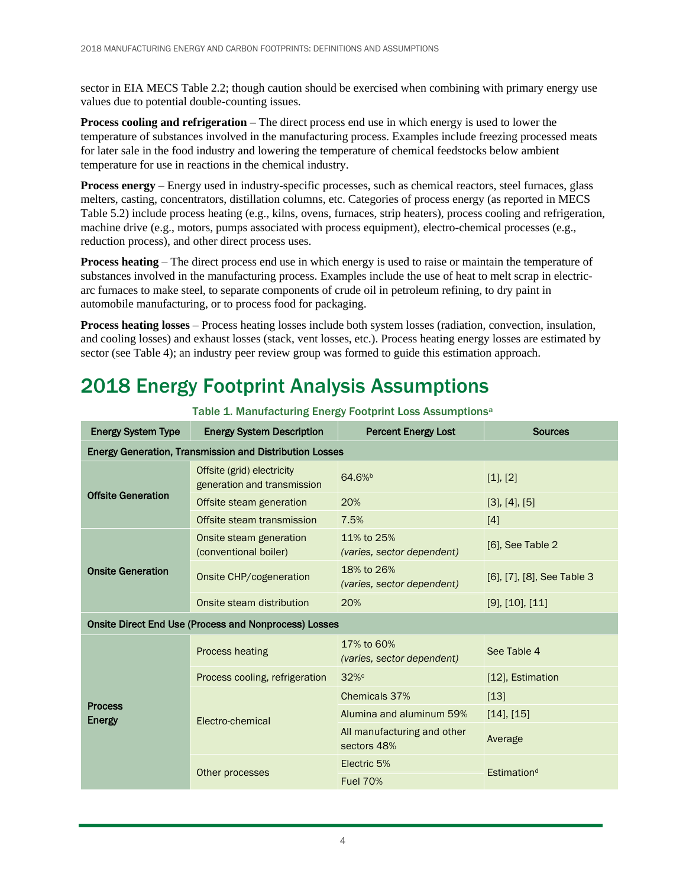sector in EIA MECS Table 2.2; though caution should be exercised when combining with primary energy use values due to potential double-counting issues.

**Process cooling and refrigeration** – The direct process end use in which energy is used to lower the temperature of substances involved in the manufacturing process. Examples include freezing processed meats for later sale in the food industry and lowering the temperature of chemical feedstocks below ambient temperature for use in reactions in the chemical industry.

**Process energy** – Energy used in industry-specific processes, such as chemical reactors, steel furnaces, glass melters, casting, concentrators, distillation columns, etc. Categories of process energy (as reported in MECS Table 5.2) include process heating (e.g., kilns, ovens, furnaces, strip heaters), process cooling and refrigeration, machine drive (e.g., motors, pumps associated with process equipment), electro-chemical processes (e.g., reduction process), and other direct process uses.

**Process heating** – The direct process end use in which energy is used to raise or maintain the temperature of substances involved in the manufacturing process. Examples include the use of heat to melt scrap in electricarc furnaces to make steel, to separate components of crude oil in petroleum refining, to dry paint in automobile manufacturing, or to process food for packaging.

**Process heating losses** – Process heating losses include both system losses (radiation, convection, insulation, and cooling losses) and exhaust losses (stack, vent losses, etc.). Process heating energy losses are estimated by sector (see [Table 4\)](#page-8-0); an industry peer review group was formed to guide this estimation approach.

# 2018 Energy Footprint Analysis Assumptions

<span id="page-3-0"></span>

| <b>Energy System Type</b>                                      | <b>Energy System Description</b><br><b>Percent Energy Lost</b> |                                            | <b>Sources</b>             |  |  |  |
|----------------------------------------------------------------|----------------------------------------------------------------|--------------------------------------------|----------------------------|--|--|--|
| <b>Energy Generation, Transmission and Distribution Losses</b> |                                                                |                                            |                            |  |  |  |
|                                                                | Offsite (grid) electricity<br>generation and transmission      | 64.6% <sup>b</sup>                         | [1], [2]                   |  |  |  |
| <b>Offsite Generation</b>                                      | Offsite steam generation<br>20%                                |                                            | [3], [4], [5]              |  |  |  |
|                                                                | Offsite steam transmission                                     | 7.5%                                       | $[4]$                      |  |  |  |
| <b>Onsite Generation</b>                                       | Onsite steam generation<br>(conventional boiler)               | 11% to 25%<br>(varies, sector dependent)   | $[6]$ , See Table 2        |  |  |  |
|                                                                | Onsite CHP/cogeneration                                        | 18% to 26%<br>(varies, sector dependent)   | [6], [7], [8], See Table 3 |  |  |  |
|                                                                | Onsite steam distribution                                      | 20%                                        | $[9]$ , $[10]$ , $[11]$    |  |  |  |
|                                                                | <b>Onsite Direct End Use (Process and Nonprocess) Losses</b>   |                                            |                            |  |  |  |
|                                                                | <b>Process heating</b>                                         | 17% to 60%<br>(varies, sector dependent)   | See Table 4                |  |  |  |
|                                                                | Process cooling, refrigeration                                 | 32%c                                       | [12], Estimation           |  |  |  |
|                                                                |                                                                | Chemicals 37%                              | $[13]$                     |  |  |  |
| <b>Process</b><br>Energy                                       | Electro-chemical                                               | Alumina and aluminum 59%                   | $[14]$ , $[15]$            |  |  |  |
|                                                                |                                                                | All manufacturing and other<br>sectors 48% | Average                    |  |  |  |
|                                                                |                                                                | Electric 5%                                | Estimation <sup>d</sup>    |  |  |  |
|                                                                | Other processes                                                | <b>Fuel 70%</b>                            |                            |  |  |  |

Table 1. Manufacturing Energy Footprint Loss Assumptions<sup>a</sup>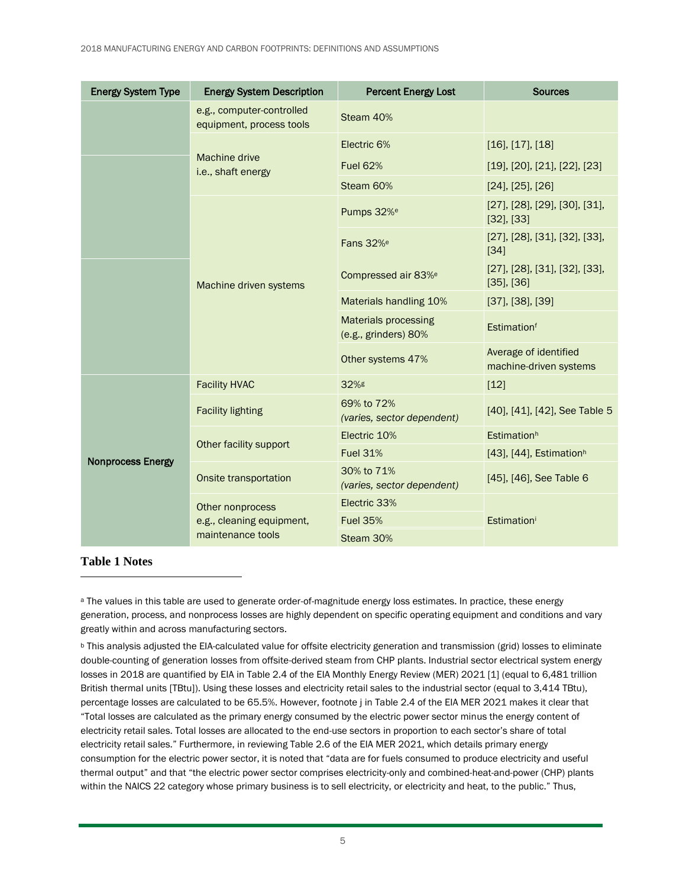| <b>Energy System Type</b> | <b>Energy System Description</b>                      | <b>Percent Energy Lost</b>                          | <b>Sources</b>                                                  |  |
|---------------------------|-------------------------------------------------------|-----------------------------------------------------|-----------------------------------------------------------------|--|
|                           | e.g., computer-controlled<br>equipment, process tools | Steam 40%                                           |                                                                 |  |
|                           |                                                       | Electric 6%                                         | $[16]$ , $[17]$ , $[18]$                                        |  |
|                           | Machine drive<br>i.e., shaft energy                   | <b>Fuel 62%</b>                                     | $[19]$ , $[20]$ , $[21]$ , $[22]$ , $[23]$                      |  |
|                           |                                                       | Steam 60%                                           | $[24]$ , $[25]$ , $[26]$                                        |  |
|                           |                                                       | Pumps 32% <sup>e</sup>                              | $[27]$ , $[28]$ , $[29]$ , $[30]$ , $[31]$ ,<br>$[32]$ , $[33]$ |  |
|                           | Machine driven systems                                | Fans 32% <sup>e</sup>                               | $[27]$ , $[28]$ , $[31]$ , $[32]$ , $[33]$ ,<br>$[34]$          |  |
|                           |                                                       | Compressed air 83% <sup>e</sup>                     | $[27]$ , $[28]$ , $[31]$ , $[32]$ , $[33]$ ,<br>$[35]$ , $[36]$ |  |
|                           |                                                       | Materials handling 10%                              | $[37]$ , $[38]$ , $[39]$                                        |  |
|                           |                                                       | <b>Materials processing</b><br>(e.g., grinders) 80% | Estimationf                                                     |  |
|                           |                                                       | Other systems 47%                                   | Average of identified<br>machine-driven systems                 |  |
|                           | <b>Facility HVAC</b>                                  | 32%g                                                | $[12]$                                                          |  |
|                           | <b>Facility lighting</b>                              | 69% to 72%<br>(varies, sector dependent)            | [40], [41], [42], See Table 5                                   |  |
|                           | Other facility support                                | Electric 10%                                        | Estimation <sup>h</sup>                                         |  |
| <b>Nonprocess Energy</b>  |                                                       | <b>Fuel 31%</b>                                     | [43], [44], Estimation <sup>h</sup>                             |  |
|                           | Onsite transportation                                 | 30% to 71%<br>(varies, sector dependent)            | [45], [46], See Table 6                                         |  |
|                           | Other nonprocess                                      | Electric 33%                                        |                                                                 |  |
|                           | e.g., cleaning equipment,                             | <b>Fuel 35%</b>                                     | Estimationi                                                     |  |
|                           | maintenance tools                                     | Steam 30%                                           |                                                                 |  |

#### **[Table 1](#page-3-0) Notes**

<sup>a</sup> The values in this table are used to generate order-of-magnitude energy loss estimates. In practice, these energy generation, process, and nonprocess losses are highly dependent on specific operating equipment and conditions and vary greatly within and across manufacturing sectors.

<sup>b</sup> This analysis adjusted the EIA-calculated value for offsite electricity generation and transmission (grid) losses to eliminate double-counting of generation losses from offsite-derived steam from CHP plants. Industrial sector electrical system energy losses in 2018 are quantified by EIA in Table 2.4 of the EIA Monthly Energy Review (MER) 2021 [1] (equal to 6,481 trillion British thermal units [TBtu]). Using these losses and electricity retail sales to the industrial sector (equal to 3,414 TBtu), percentage losses are calculated to be 65.5%. However, footnote j in Table 2.4 of the EIA MER 2021 makes it clear that "Total losses are calculated as the primary energy consumed by the electric power sector minus the energy content of electricity retail sales. Total losses are allocated to the end-use sectors in proportion to each sector's share of total electricity retail sales." Furthermore, in reviewing Table 2.6 of the EIA MER 2021, which details primary energy consumption for the electric power sector, it is noted that "data are for fuels consumed to produce electricity and useful thermal output" and that "the electric power sector comprises electricity-only and combined-heat-and-power (CHP) plants within the NAICS 22 category whose primary business is to sell electricity, or electricity and heat, to the public." Thus,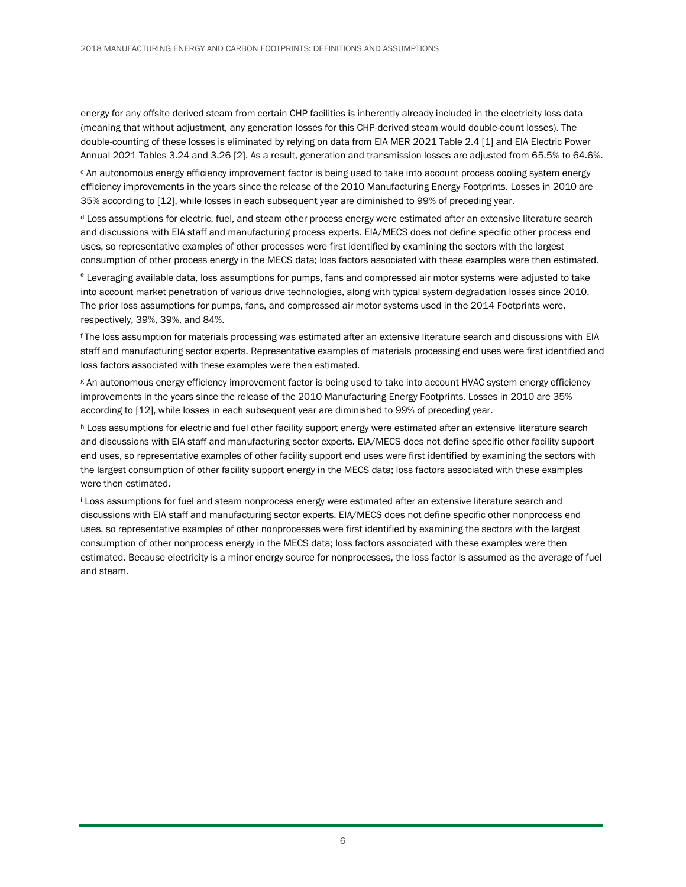energy for any offsite derived steam from certain CHP facilities is inherently already included in the electricity loss data (meaning that without adjustment, any generation losses for this CHP-derived steam would double-count losses). The double-counting of these losses is eliminated by relying on data from EIA MER 2021 Table 2.4 [1] and EIA Electric Power Annual 2021 Tables 3.24 and 3.26 [2]. As a result, generation and transmission losses are adjusted from 65.5% to 64.6%.

<sup>c</sup> An autonomous energy efficiency improvement factor is being used to take into account process cooling system energy efficiency improvements in the years since the release of the 2010 Manufacturing Energy Footprints. Losses in 2010 are 35% according to [12], while losses in each subsequent year are diminished to 99% of preceding year.

<sup>d</sup> Loss assumptions for electric, fuel, and steam other process energy were estimated after an extensive literature search and discussions with EIA staff and manufacturing process experts. EIA/MECS does not define specific other process end uses, so representative examples of other processes were first identified by examining the sectors with the largest consumption of other process energy in the MECS data; loss factors associated with these examples were then estimated.

<sup>e</sup> Leveraging available data, loss assumptions for pumps, fans and compressed air motor systems were adjusted to take into account market penetration of various drive technologies, along with typical system degradation losses since 2010. The prior loss assumptions for pumps, fans, and compressed air motor systems used in the 2014 Footprints were, respectively, 39%, 39%, and 84%.

<sup>f</sup> The loss assumption for materials processing was estimated after an extensive literature search and discussions with EIA staff and manufacturing sector experts. Representative examples of materials processing end uses were first identified and loss factors associated with these examples were then estimated.

<sup>g</sup> An autonomous energy efficiency improvement factor is being used to take into account HVAC system energy efficiency improvements in the years since the release of the 2010 Manufacturing Energy Footprints. Losses in 2010 are 35% according to [12], while losses in each subsequent year are diminished to 99% of preceding year.

h Loss assumptions for electric and fuel other facility support energy were estimated after an extensive literature search and discussions with EIA staff and manufacturing sector experts. EIA/MECS does not define specific other facility support end uses, so representative examples of other facility support end uses were first identified by examining the sectors with the largest consumption of other facility support energy in the MECS data; loss factors associated with these examples were then estimated.

<sup>i</sup> Loss assumptions for fuel and steam nonprocess energy were estimated after an extensive literature search and discussions with EIA staff and manufacturing sector experts. EIA/MECS does not define specific other nonprocess end uses, so representative examples of other nonprocesses were first identified by examining the sectors with the largest consumption of other nonprocess energy in the MECS data; loss factors associated with these examples were then estimated. Because electricity is a minor energy source for nonprocesses, the loss factor is assumed as the average of fuel and steam.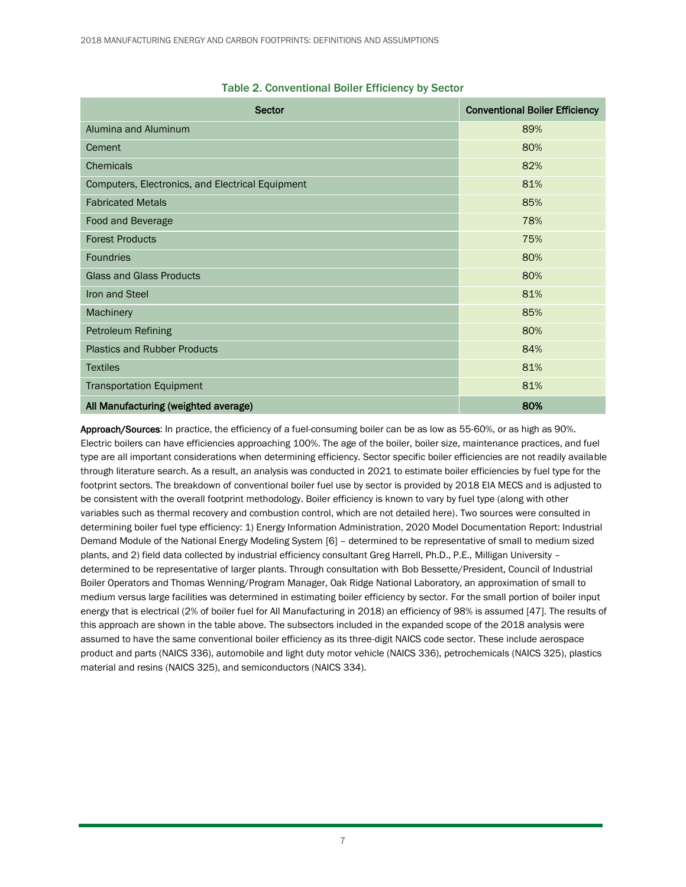<span id="page-6-0"></span>

| Sector                                           | <b>Conventional Boiler Efficiency</b> |
|--------------------------------------------------|---------------------------------------|
| Alumina and Aluminum                             | 89%                                   |
| Cement                                           | 80%                                   |
| <b>Chemicals</b>                                 | 82%                                   |
| Computers, Electronics, and Electrical Equipment | 81%                                   |
| <b>Fabricated Metals</b>                         | 85%                                   |
| Food and Beverage                                | 78%                                   |
| <b>Forest Products</b>                           | 75%                                   |
| <b>Foundries</b>                                 | 80%                                   |
| <b>Glass and Glass Products</b>                  | 80%                                   |
| Iron and Steel                                   | 81%                                   |
| Machinery                                        | 85%                                   |
| Petroleum Refining                               | 80%                                   |
| <b>Plastics and Rubber Products</b>              | 84%                                   |
| <b>Textiles</b>                                  | 81%                                   |
| <b>Transportation Equipment</b>                  | 81%                                   |
| All Manufacturing (weighted average)             | 80%                                   |

#### Table 2. Conventional Boiler Efficiency by Sector

Approach/Sources: In practice, the efficiency of a fuel-consuming boiler can be as low as 55-60%, or as high as 90%. Electric boilers can have efficiencies approaching 100%. The age of the boiler, boiler size, maintenance practices, and fuel type are all important considerations when determining efficiency. Sector specific boiler efficiencies are not readily available through literature search. As a result, an analysis was conducted in 2021 to estimate boiler efficiencies by fuel type for the footprint sectors. The breakdown of conventional boiler fuel use by sector is provided by 2018 EIA MECS and is adjusted to be consistent with the overall footprint methodology. Boiler efficiency is known to vary by fuel type (along with other variables such as thermal recovery and combustion control, which are not detailed here). Two sources were consulted in determining boiler fuel type efficiency: 1) Energy Information Administration, 2020 Model Documentation Report: Industrial Demand Module of the National Energy Modeling System [6] – determined to be representative of small to medium sized plants, and 2) field data collected by industrial efficiency consultant Greg Harrell, Ph.D., P.E., Milligan University – determined to be representative of larger plants. Through consultation with Bob Bessette/President, Council of Industrial Boiler Operators and Thomas Wenning/Program Manager, Oak Ridge National Laboratory, an approximation of small to medium versus large facilities was determined in estimating boiler efficiency by sector. For the small portion of boiler input energy that is electrical (2% of boiler fuel for All Manufacturing in 2018) an efficiency of 98% is assumed [47]. The results of this approach are shown in the table above. The subsectors included in the expanded scope of the 2018 analysis were assumed to have the same conventional boiler efficiency as its three-digit NAICS code sector. These include aerospace product and parts (NAICS 336), automobile and light duty motor vehicle (NAICS 336), petrochemicals (NAICS 325), plastics material and resins (NAICS 325), and semiconductors (NAICS 334).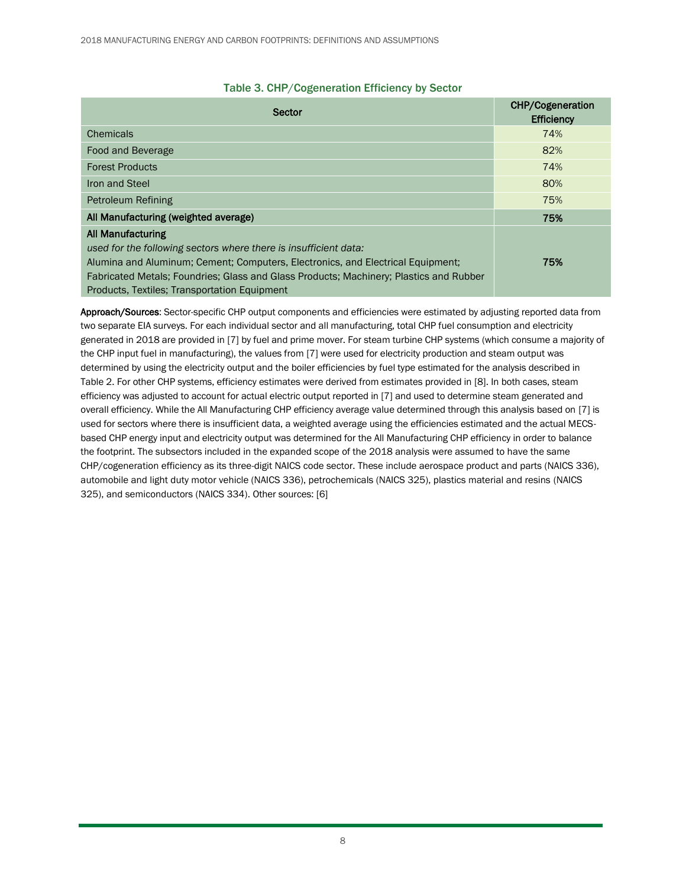<span id="page-7-0"></span>

| Sector                                                                                 | <b>CHP/Cogeneration</b><br><b>Efficiency</b> |  |
|----------------------------------------------------------------------------------------|----------------------------------------------|--|
| Chemicals                                                                              | 74%                                          |  |
| Food and Beverage                                                                      | 82%                                          |  |
| <b>Forest Products</b>                                                                 | 74%                                          |  |
| Iron and Steel                                                                         | 80%                                          |  |
| Petroleum Refining                                                                     | 75%                                          |  |
| All Manufacturing (weighted average)                                                   | 75%                                          |  |
| <b>All Manufacturing</b>                                                               |                                              |  |
| used for the following sectors where there is insufficient data:                       |                                              |  |
| Alumina and Aluminum; Cement; Computers, Electronics, and Electrical Equipment;        | 75%                                          |  |
| Fabricated Metals: Foundries: Glass and Glass Products: Machinery: Plastics and Rubber |                                              |  |
| <b>Products, Textiles: Transportation Equipment</b>                                    |                                              |  |

#### Table 3. CHP/Cogeneration Efficiency by Sector

Approach/Sources: Sector-specific CHP output components and efficiencies were estimated by adjusting reported data from two separate EIA surveys. For each individual sector and all manufacturing, total CHP fuel consumption and electricity generated in 2018 are provided in [7] by fuel and prime mover. For steam turbine CHP systems (which consume a majority of the CHP input fuel in manufacturing), the values from [7] were used for electricity production and steam output was determined by using the electricity output and the boiler efficiencies by fuel type estimated for the analysis described in [Table 2.](#page-6-0) For other CHP systems, efficiency estimates were derived from estimates provided in [8]. In both cases, steam efficiency was adjusted to account for actual electric output reported in [7] and used to determine steam generated and overall efficiency. While the All Manufacturing CHP efficiency average value determined through this analysis based on [7] is used for sectors where there is insufficient data, a weighted average using the efficiencies estimated and the actual MECSbased CHP energy input and electricity output was determined for the All Manufacturing CHP efficiency in order to balance the footprint. The subsectors included in the expanded scope of the 2018 analysis were assumed to have the same CHP/cogeneration efficiency as its three-digit NAICS code sector. These include aerospace product and parts (NAICS 336), automobile and light duty motor vehicle (NAICS 336), petrochemicals (NAICS 325), plastics material and resins (NAICS 325), and semiconductors (NAICS 334). Other sources: [6]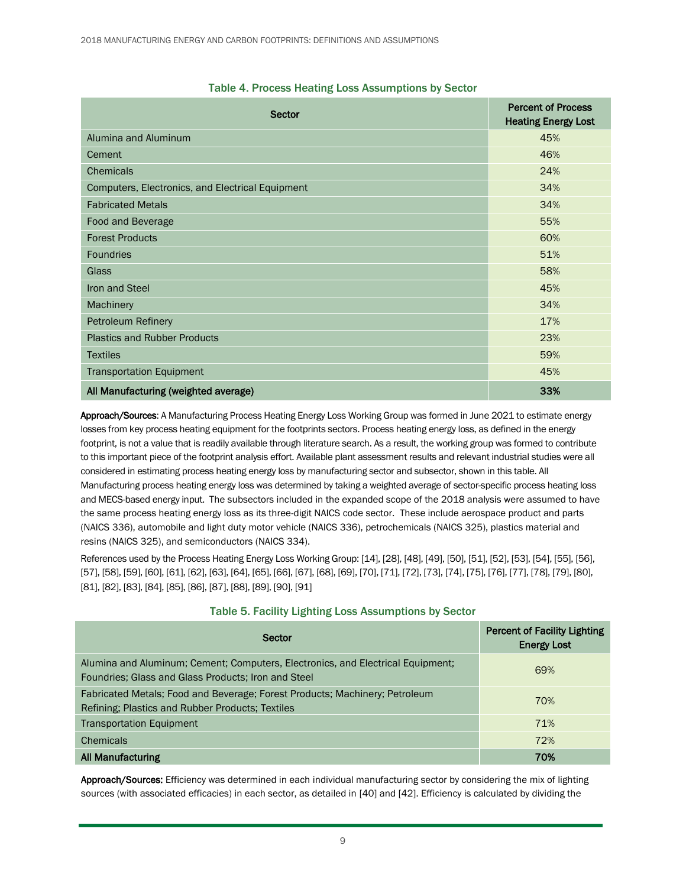<span id="page-8-0"></span>

| <b>Sector</b>                                    | <b>Percent of Process</b><br><b>Heating Energy Lost</b> |
|--------------------------------------------------|---------------------------------------------------------|
| Alumina and Aluminum                             | 45%                                                     |
| Cement                                           | 46%                                                     |
| <b>Chemicals</b>                                 | 24%                                                     |
| Computers, Electronics, and Electrical Equipment | 34%                                                     |
| <b>Fabricated Metals</b>                         | 34%                                                     |
| Food and Beverage                                | 55%                                                     |
| <b>Forest Products</b>                           | 60%                                                     |
| Foundries                                        | 51%                                                     |
| <b>Glass</b>                                     | 58%                                                     |
| Iron and Steel                                   | 45%                                                     |
| Machinery                                        | 34%                                                     |
| Petroleum Refinery                               | 17%                                                     |
| <b>Plastics and Rubber Products</b>              | 23%                                                     |
| <b>Textiles</b>                                  | 59%                                                     |
| <b>Transportation Equipment</b>                  | 45%                                                     |
| All Manufacturing (weighted average)             | 33%                                                     |

#### Table 4. Process Heating Loss Assumptions by Sector

Approach/Sources: A Manufacturing Process Heating Energy Loss Working Group was formed in June 2021 to estimate energy losses from key process heating equipment for the footprints sectors. Process heating energy loss, as defined in the energy footprint, is not a value that is readily available through literature search. As a result, the working group was formed to contribute to this important piece of the footprint analysis effort. Available plant assessment results and relevant industrial studies were all considered in estimating process heating energy loss by manufacturing sector and subsector, shown in this table. All Manufacturing process heating energy loss was determined by taking a weighted average of sector-specific process heating loss and MECS-based energy input. The subsectors included in the expanded scope of the 2018 analysis were assumed to have the same process heating energy loss as its three-digit NAICS code sector. These include aerospace product and parts (NAICS 336), automobile and light duty motor vehicle (NAICS 336), petrochemicals (NAICS 325), plastics material and resins (NAICS 325), and semiconductors (NAICS 334).

References used by the Process Heating Energy Loss Working Group: [14], [28], [48], [49], [50], [51], [52], [53], [54], [55], [56], [57], [58], [59], [60], [61], [62], [63], [64], [65], [66], [67], [68], [69], [70], [71], [72], [73], [74], [75], [76], [77], [78], [79], [80], [81], [82], [83], [84], [85], [86], [87], [88], [89], [90], [91]

<span id="page-8-1"></span>

| Sector                                                                                                                                 | <b>Percent of Facility Lighting</b><br><b>Energy Lost</b> |
|----------------------------------------------------------------------------------------------------------------------------------------|-----------------------------------------------------------|
| Alumina and Aluminum; Cement; Computers, Electronics, and Electrical Equipment;<br>Foundries: Glass and Glass Products; Iron and Steel | 69%                                                       |
| Fabricated Metals; Food and Beverage; Forest Products; Machinery; Petroleum<br>Refining: Plastics and Rubber Products: Textiles        | 70%                                                       |
| <b>Transportation Equipment</b>                                                                                                        | 71%                                                       |
| Chemicals                                                                                                                              | 72%                                                       |
| <b>All Manufacturing</b>                                                                                                               | 70%                                                       |

#### Table 5. Facility Lighting Loss Assumptions by Sector

Approach/Sources: Efficiency was determined in each individual manufacturing sector by considering the mix of lighting sources (with associated efficacies) in each sector, as detailed in [40] and [42]. Efficiency is calculated by dividing the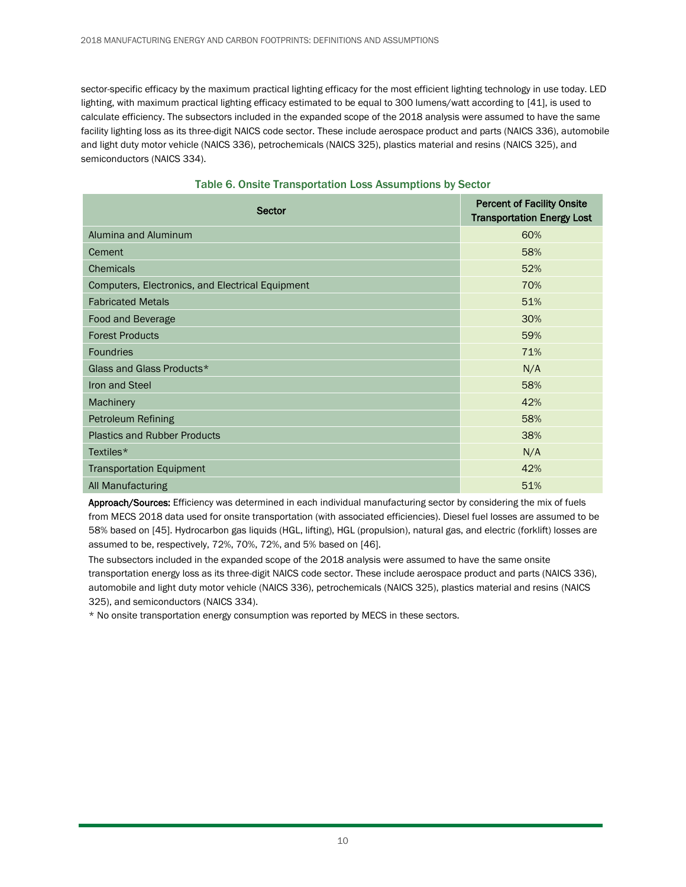sector-specific efficacy by the maximum practical lighting efficacy for the most efficient lighting technology in use today. LED lighting, with maximum practical lighting efficacy estimated to be equal to 300 lumens/watt according to [41], is used to calculate efficiency. The subsectors included in the expanded scope of the 2018 analysis were assumed to have the same facility lighting loss as its three-digit NAICS code sector. These include aerospace product and parts (NAICS 336), automobile and light duty motor vehicle (NAICS 336), petrochemicals (NAICS 325), plastics material and resins (NAICS 325), and semiconductors (NAICS 334).

<span id="page-9-0"></span>

| Sector                                           | <b>Percent of Facility Onsite</b><br><b>Transportation Energy Lost</b> |
|--------------------------------------------------|------------------------------------------------------------------------|
| Alumina and Aluminum                             | 60%                                                                    |
| Cement                                           | 58%                                                                    |
| <b>Chemicals</b>                                 | 52%                                                                    |
| Computers, Electronics, and Electrical Equipment | 70%                                                                    |
| <b>Fabricated Metals</b>                         | 51%                                                                    |
| Food and Beverage                                | 30%                                                                    |
| <b>Forest Products</b>                           | 59%                                                                    |
| <b>Foundries</b>                                 | 71%                                                                    |
| Glass and Glass Products*                        | N/A                                                                    |
| <b>Iron and Steel</b>                            | 58%                                                                    |
| Machinery                                        | 42%                                                                    |
| <b>Petroleum Refining</b>                        | 58%                                                                    |
| <b>Plastics and Rubber Products</b>              | 38%                                                                    |
| Textiles*                                        | N/A                                                                    |
| <b>Transportation Equipment</b>                  | 42%                                                                    |
| All Manufacturing                                | 51%                                                                    |

|  | Table 6. Onsite Transportation Loss Assumptions by Sector |  |  |  |
|--|-----------------------------------------------------------|--|--|--|
|--|-----------------------------------------------------------|--|--|--|

Approach/Sources: Efficiency was determined in each individual manufacturing sector by considering the mix of fuels from MECS 2018 data used for onsite transportation (with associated efficiencies). Diesel fuel losses are assumed to be 58% based on [45]. Hydrocarbon gas liquids (HGL, lifting), HGL (propulsion), natural gas, and electric (forklift) losses are assumed to be, respectively, 72%, 70%, 72%, and 5% based on [46].

The subsectors included in the expanded scope of the 2018 analysis were assumed to have the same onsite transportation energy loss as its three-digit NAICS code sector. These include aerospace product and parts (NAICS 336), automobile and light duty motor vehicle (NAICS 336), petrochemicals (NAICS 325), plastics material and resins (NAICS 325), and semiconductors (NAICS 334).

\* No onsite transportation energy consumption was reported by MECS in these sectors.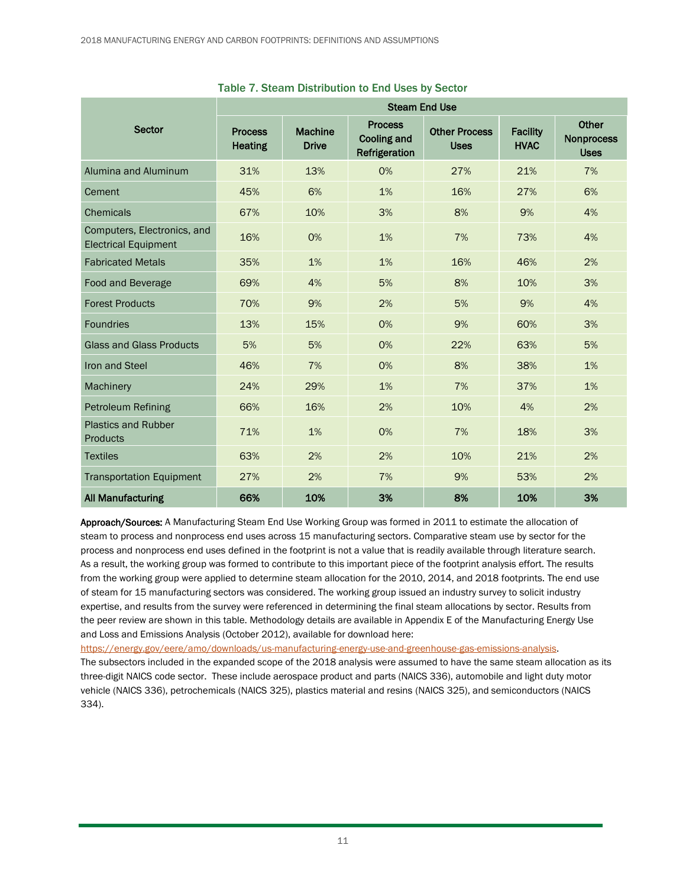|                                                            | <b>Steam End Use</b>             |                                |                                                       |                                     |                                |                                                  |  |
|------------------------------------------------------------|----------------------------------|--------------------------------|-------------------------------------------------------|-------------------------------------|--------------------------------|--------------------------------------------------|--|
| <b>Sector</b>                                              | <b>Process</b><br><b>Heating</b> | <b>Machine</b><br><b>Drive</b> | <b>Process</b><br><b>Cooling and</b><br>Refrigeration | <b>Other Process</b><br><b>Uses</b> | <b>Facility</b><br><b>HVAC</b> | <b>Other</b><br><b>Nonprocess</b><br><b>Uses</b> |  |
| Alumina and Aluminum                                       | 31%                              | 13%                            | 0%                                                    | 27%                                 | 21%                            | 7%                                               |  |
| Cement                                                     | 45%                              | 6%                             | 1%                                                    | 16%                                 | 27%                            | 6%                                               |  |
| <b>Chemicals</b>                                           | 67%                              | 10%                            | 3%                                                    | 8%                                  | 9%                             | 4%                                               |  |
| Computers, Electronics, and<br><b>Electrical Equipment</b> | 16%                              | 0%                             | 1%                                                    | 7%                                  | 73%                            | 4%                                               |  |
| <b>Fabricated Metals</b>                                   | 35%                              | 1%                             | 1%                                                    | 16%                                 | 46%                            | 2%                                               |  |
| Food and Beverage                                          | 69%                              | 4%                             | 5%                                                    | 8%                                  | 10%                            | 3%                                               |  |
| <b>Forest Products</b>                                     | 70%                              | 9%                             | 2%                                                    | 5%                                  | 9%                             | 4%                                               |  |
| <b>Foundries</b>                                           | 13%                              | 15%                            | 0%                                                    | 9%                                  | 60%                            | 3%                                               |  |
| <b>Glass and Glass Products</b>                            | 5%                               | 5%                             | 0%                                                    | 22%                                 | 63%                            | 5%                                               |  |
| Iron and Steel                                             | 46%                              | 7%                             | 0%                                                    | 8%                                  | 38%                            | 1%                                               |  |
| Machinery                                                  | 24%                              | 29%                            | 1%                                                    | 7%                                  | 37%                            | 1%                                               |  |
| Petroleum Refining                                         | 66%                              | 16%                            | 2%                                                    | 10%                                 | 4%                             | 2%                                               |  |
| <b>Plastics and Rubber</b><br><b>Products</b>              | 71%                              | 1%                             | 0%                                                    | 7%                                  | 18%                            | 3%                                               |  |
| <b>Textiles</b>                                            | 63%                              | 2%                             | 2%                                                    | 10%                                 | 21%                            | 2%                                               |  |
| <b>Transportation Equipment</b>                            | 27%                              | 2%                             | 7%                                                    | 9%                                  | 53%                            | 2%                                               |  |
| <b>All Manufacturing</b>                                   | 66%                              | 10%                            | 3%                                                    | 8%                                  | 10%                            | 3%                                               |  |

#### Table 7. Steam Distribution to End Uses by Sector

Approach/Sources: A Manufacturing Steam End Use Working Group was formed in 2011 to estimate the allocation of steam to process and nonprocess end uses across 15 manufacturing sectors. Comparative steam use by sector for the process and nonprocess end uses defined in the footprint is not a value that is readily available through literature search. As a result, the working group was formed to contribute to this important piece of the footprint analysis effort. The results from the working group were applied to determine steam allocation for the 2010, 2014, and 2018 footprints. The end use of steam for 15 manufacturing sectors was considered. The working group issued an industry survey to solicit industry expertise, and results from the survey were referenced in determining the final steam allocations by sector. Results from the peer review are shown in this table. Methodology details are available in Appendix E of the Manufacturing Energy Use and Loss and Emissions Analysis (October 2012), available for download here:

[https://energy.gov/eere/amo/downloads/us-manufacturing-energy-use-and-greenhouse-gas-emissions-analysis.](https://energy.gov/eere/amo/downloads/us-manufacturing-energy-use-and-greenhouse-gas-emissions-analysis)

The subsectors included in the expanded scope of the 2018 analysis were assumed to have the same steam allocation as its three-digit NAICS code sector. These include aerospace product and parts (NAICS 336), automobile and light duty motor vehicle (NAICS 336), petrochemicals (NAICS 325), plastics material and resins (NAICS 325), and semiconductors (NAICS 334).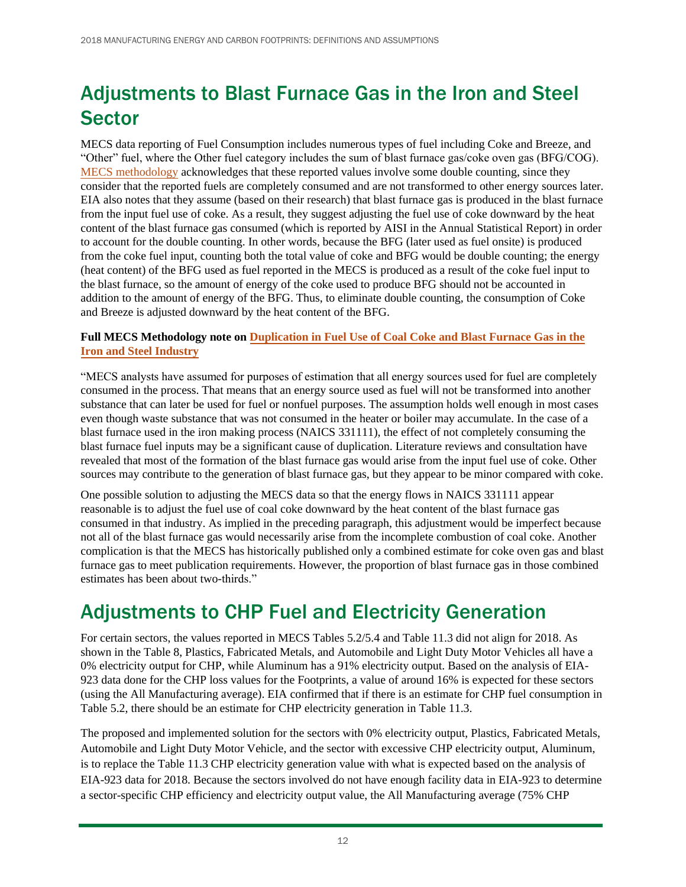# Adjustments to Blast Furnace Gas in the Iron and Steel **Sector**

MECS data reporting of Fuel Consumption includes numerous types of fuel including Coke and Breeze, and "Other" fuel, where the Other fuel category includes the sum of blast furnace gas/coke oven gas (BFG/COG). [MECS methodology](https://www.eia.gov/consumption/manufacturing/data/2014/index.php?view=methodology_2014#duplicationinfueluse) acknowledges that these reported values involve some double counting, since they consider that the reported fuels are completely consumed and are not transformed to other energy sources later. EIA also notes that they assume (based on their research) that blast furnace gas is produced in the blast furnace from the input fuel use of coke. As a result, they suggest adjusting the fuel use of coke downward by the heat content of the blast furnace gas consumed (which is reported by AISI in the Annual Statistical Report) in order to account for the double counting. In other words, because the BFG (later used as fuel onsite) is produced from the coke fuel input, counting both the total value of coke and BFG would be double counting; the energy (heat content) of the BFG used as fuel reported in the MECS is produced as a result of the coke fuel input to the blast furnace, so the amount of energy of the coke used to produce BFG should not be accounted in addition to the amount of energy of the BFG. Thus, to eliminate double counting, the consumption of Coke and Breeze is adjusted downward by the heat content of the BFG.

#### **Full MECS Methodology note on [Duplication in Fuel Use of Coal Coke and Blast Furnace Gas in the](https://www.eia.gov/consumption/manufacturing/data/2014/index.php?view=methodology_2014#duplicationinfueluse) [Iron and Steel Industry](https://www.eia.gov/consumption/manufacturing/data/2014/index.php?view=methodology_2014#duplicationinfueluse)**

"MECS analysts have assumed for purposes of estimation that all energy sources used for fuel are completely consumed in the process. That means that an energy source used as fuel will not be transformed into another substance that can later be used for fuel or nonfuel purposes. The assumption holds well enough in most cases even though waste substance that was not consumed in the heater or boiler may accumulate. In the case of a blast furnace used in the iron making process (NAICS 331111), the effect of not completely consuming the blast furnace fuel inputs may be a significant cause of duplication. Literature reviews and consultation have revealed that most of the formation of the blast furnace gas would arise from the input fuel use of coke. Other sources may contribute to the generation of blast furnace gas, but they appear to be minor compared with coke.

One possible solution to adjusting the MECS data so that the energy flows in NAICS 331111 appear reasonable is to adjust the fuel use of coal coke downward by the heat content of the blast furnace gas consumed in that industry. As implied in the preceding paragraph, this adjustment would be imperfect because not all of the blast furnace gas would necessarily arise from the incomplete combustion of coal coke. Another complication is that the MECS has historically published only a combined estimate for coke oven gas and blast furnace gas to meet publication requirements. However, the proportion of blast furnace gas in those combined estimates has been about two-thirds."

### Adjustments to CHP Fuel and Electricity Generation

For certain sectors, the values reported in MECS Tables 5.2/5.4 and Table 11.3 did not align for 2018. As shown in the [Table 8,](#page-12-0) Plastics, Fabricated Metals, and Automobile and Light Duty Motor Vehicles all have a 0% electricity output for CHP, while Aluminum has a 91% electricity output. Based on the analysis of EIA-923 data done for the CHP loss values for the Footprints, a value of around 16% is expected for these sectors (using the All Manufacturing average). EIA confirmed that if there is an estimate for CHP fuel consumption in Table 5.2, there should be an estimate for CHP electricity generation in Table 11.3.

The proposed and implemented solution for the sectors with 0% electricity output, Plastics, Fabricated Metals, Automobile and Light Duty Motor Vehicle, and the sector with excessive CHP electricity output, Aluminum, is to replace the Table 11.3 CHP electricity generation value with what is expected based on the analysis of EIA-923 data for 2018. Because the sectors involved do not have enough facility data in EIA-923 to determine a sector-specific CHP efficiency and electricity output value, the All Manufacturing average (75% CHP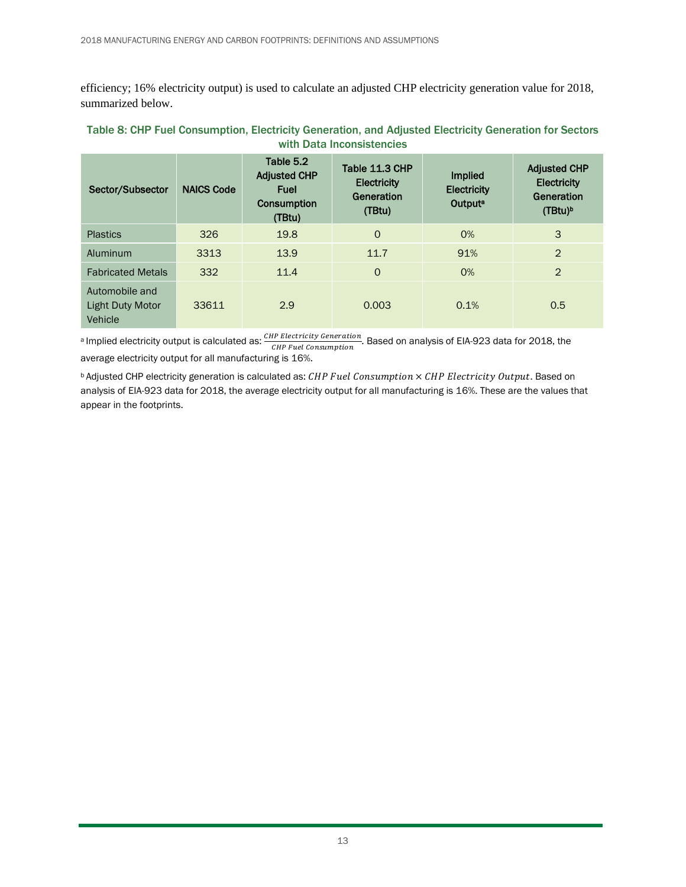efficiency; 16% electricity output) is used to calculate an adjusted CHP electricity generation value for 2018, summarized below.

| $\cdots$                                             |                   |                                                                          |                                                              |                                                             |                                                                                |  |  |
|------------------------------------------------------|-------------------|--------------------------------------------------------------------------|--------------------------------------------------------------|-------------------------------------------------------------|--------------------------------------------------------------------------------|--|--|
| Sector/Subsector                                     | <b>NAICS Code</b> | Table 5.2<br><b>Adjusted CHP</b><br><b>Fuel</b><br>Consumption<br>(TBtu) | Table 11.3 CHP<br><b>Electricity</b><br>Generation<br>(TBtu) | <b>Implied</b><br><b>Electricity</b><br>Output <sup>a</sup> | <b>Adjusted CHP</b><br><b>Electricity</b><br>Generation<br>(TBtu) <sup>b</sup> |  |  |
| <b>Plastics</b>                                      | 326               | 19.8                                                                     | $\circ$                                                      | $O\%$                                                       | 3                                                                              |  |  |
| Aluminum                                             | 3313              | 13.9                                                                     | 11.7                                                         | 91%                                                         | $\overline{2}$                                                                 |  |  |
| <b>Fabricated Metals</b>                             | 332               | 11.4                                                                     | $\circ$                                                      | 0%                                                          | $\overline{2}$                                                                 |  |  |
| Automobile and<br><b>Light Duty Motor</b><br>Vehicle | 33611             | 2.9                                                                      | 0.003                                                        | 0.1%                                                        | 0.5                                                                            |  |  |

#### <span id="page-12-0"></span>Table 8: CHP Fuel Consumption, Electricity Generation, and Adjusted Electricity Generation for Sectors with Data Inconsistencies

a Implied electricity output is calculated as:  $\frac{CHP\ Electronicity\ Generation}{CHP\ Fuel\ consumption}$ . Based on analysis of EIA-923 data for 2018, the average electricity output for all manufacturing is 16%.

 $b$  Adjusted CHP electricity generation is calculated as: CHP Fuel Consumption  $\times$  CHP Electricity Output. Based on analysis of EIA-923 data for 2018, the average electricity output for all manufacturing is 16%. These are the values that appear in the footprints.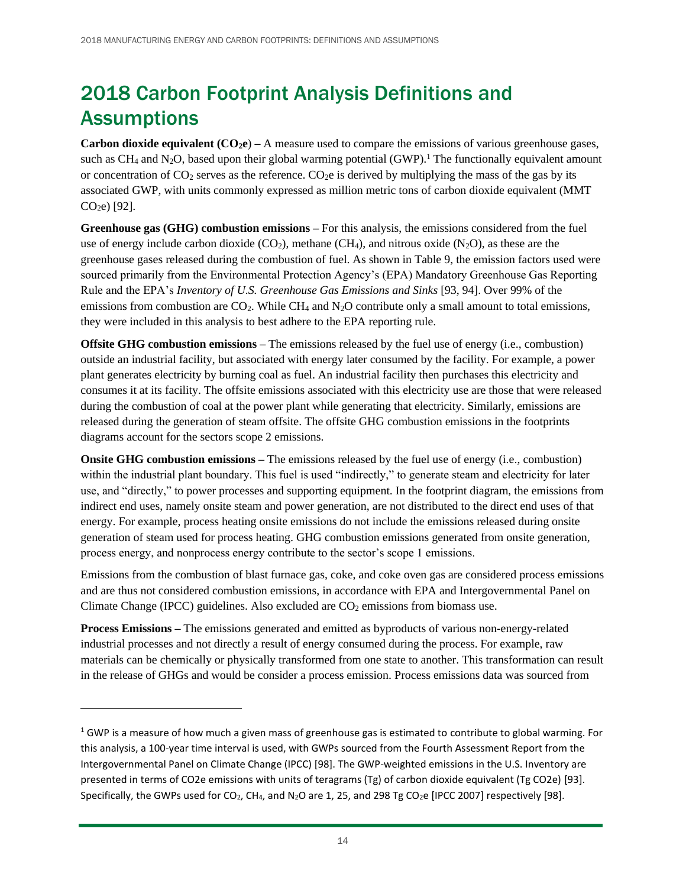# 2018 Carbon Footprint Analysis Definitions and Assumptions

**Carbon dioxide equivalent**  $(CO<sub>2</sub>e)$  **– A measure used to compare the emissions of various greenhouse gases,** such as  $CH_4$  and N<sub>2</sub>O, based upon their global warming potential  $(GWP)$ .<sup>1</sup> The functionally equivalent amount or concentration of  $CO_2$  serves as the reference.  $CO_2e$  is derived by multiplying the mass of the gas by its associated GWP, with units commonly expressed as million metric tons of carbon dioxide equivalent (MMT CO2e) [92].

**Greenhouse gas (GHG) combustion emissions –** For this analysis, the emissions considered from the fuel use of energy include carbon dioxide  $(CO_2)$ , methane  $(CH_4)$ , and nitrous oxide  $(N_2O)$ , as these are the greenhouse gases released during the combustion of fuel. As shown in [Table 9,](#page-14-0) the emission factors used were sourced primarily from the Environmental Protection Agency's (EPA) Mandatory Greenhouse Gas Reporting Rule and the EPA's *Inventory of U.S. Greenhouse Gas Emissions and Sinks* [93, 94]. Over 99% of the emissions from combustion are  $CO<sub>2</sub>$ . While CH<sub>4</sub> and N<sub>2</sub>O contribute only a small amount to total emissions, they were included in this analysis to best adhere to the EPA reporting rule.

**Offsite GHG combustion emissions –** The emissions released by the fuel use of energy (i.e., combustion) outside an industrial facility, but associated with energy later consumed by the facility. For example, a power plant generates electricity by burning coal as fuel. An industrial facility then purchases this electricity and consumes it at its facility. The offsite emissions associated with this electricity use are those that were released during the combustion of coal at the power plant while generating that electricity. Similarly, emissions are released during the generation of steam offsite. The offsite GHG combustion emissions in the footprints diagrams account for the sectors scope 2 emissions.

**Onsite GHG combustion emissions** – The emissions released by the fuel use of energy (i.e., combustion) within the industrial plant boundary. This fuel is used "indirectly," to generate steam and electricity for later use, and "directly," to power processes and supporting equipment. In the footprint diagram, the emissions from indirect end uses, namely onsite steam and power generation, are not distributed to the direct end uses of that energy. For example, process heating onsite emissions do not include the emissions released during onsite generation of steam used for process heating. GHG combustion emissions generated from onsite generation, process energy, and nonprocess energy contribute to the sector's scope 1 emissions.

Emissions from the combustion of blast furnace gas, coke, and coke oven gas are considered process emissions and are thus not considered combustion emissions, in accordance with EPA and Intergovernmental Panel on Climate Change (IPCC) guidelines. Also excluded are  $CO<sub>2</sub>$  emissions from biomass use.

**Process Emissions –** The emissions generated and emitted as byproducts of various non-energy-related industrial processes and not directly a result of energy consumed during the process. For example, raw materials can be chemically or physically transformed from one state to another. This transformation can result in the release of GHGs and would be consider a process emission. Process emissions data was sourced from

 $1$  GWP is a measure of how much a given mass of greenhouse gas is estimated to contribute to global warming. For this analysis, a 100-year time interval is used, with GWPs sourced from the Fourth Assessment Report from the Intergovernmental Panel on Climate Change (IPCC) [98]. The GWP-weighted emissions in the U.S. Inventory are presented in terms of CO2e emissions with units of teragrams (Tg) of carbon dioxide equivalent (Tg CO2e) [93]. Specifically, the GWPs used for CO<sub>2</sub>, CH<sub>4</sub>, and N<sub>2</sub>O are 1, 25, and 298 Tg CO<sub>2</sub>e [IPCC 2007] respectively [98].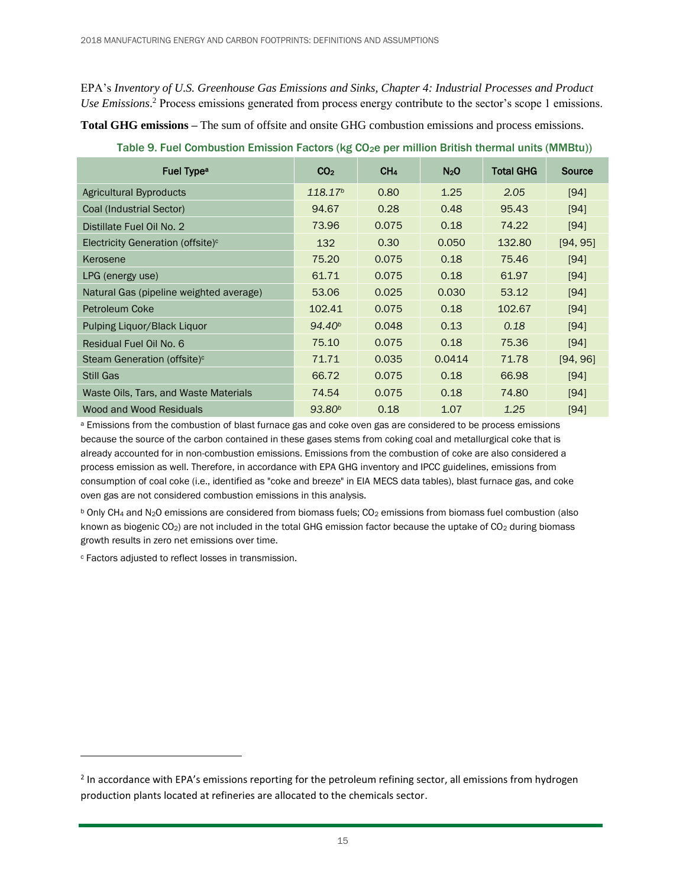EPA's *Inventory of U.S. Greenhouse Gas Emissions and Sinks, Chapter 4: Industrial Processes and Product Use Emissions*. <sup>2</sup> Process emissions generated from process energy contribute to the sector's scope 1 emissions.

**Total GHG emissions –** The sum of offsite and onsite GHG combustion emissions and process emissions.

| Fuel Type <sup>a</sup>                        | CO <sub>2</sub>     | CH <sub>4</sub> | N <sub>2</sub> O | <b>Total GHG</b> | Source   |
|-----------------------------------------------|---------------------|-----------------|------------------|------------------|----------|
| Agricultural Byproducts                       | 118.17 <sup>b</sup> | 0.80            | 1.25             | 2.05             | [94]     |
| Coal (Industrial Sector)                      | 94.67               | 0.28            | 0.48             | 95.43            | [94]     |
| Distillate Fuel Oil No. 2                     | 73.96               | 0.075           | 0.18             | 74.22            | [94]     |
| Electricity Generation (offsite) <sup>c</sup> | 132                 | 0.30            | 0.050            | 132.80           | [94, 95] |
| Kerosene                                      | 75.20               | 0.075           | 0.18             | 75.46            | [94]     |
| LPG (energy use)                              | 61.71               | 0.075           | 0.18             | 61.97            | [94]     |
| Natural Gas (pipeline weighted average)       | 53.06               | 0.025           | 0.030            | 53.12            | [94]     |
| Petroleum Coke                                | 102.41              | 0.075           | 0.18             | 102.67           | [94]     |
| Pulping Liquor/Black Liquor                   | 94.40 <sup>b</sup>  | 0.048           | 0.13             | 0.18             | [94]     |
| Residual Fuel Oil No. 6                       | 75.10               | 0.075           | 0.18             | 75.36            | [94]     |
| Steam Generation (offsite) <sup>c</sup>       | 71.71               | 0.035           | 0.0414           | 71.78            | [94, 96] |
| <b>Still Gas</b>                              | 66.72               | 0.075           | 0.18             | 66.98            | [94]     |
| Waste Oils, Tars, and Waste Materials         | 74.54               | 0.075           | 0.18             | 74.80            | [94]     |
| Wood and Wood Residuals                       | 93.80 <sup>b</sup>  | 0.18            | 1.07             | 1.25             | $[94]$   |

<span id="page-14-0"></span>Table 9. Fuel Combustion Emission Factors (kg CO<sub>2</sub>e per million British thermal units (MMBtu))

<sup>a</sup> Emissions from the combustion of blast furnace gas and coke oven gas are considered to be process emissions because the source of the carbon contained in these gases stems from coking coal and metallurgical coke that is already accounted for in non-combustion emissions. Emissions from the combustion of coke are also considered a process emission as well. Therefore, in accordance with EPA GHG inventory and IPCC guidelines, emissions from consumption of coal coke (i.e., identified as "coke and breeze" in EIA MECS data tables), blast furnace gas, and coke oven gas are not considered combustion emissions in this analysis.

 $b$  Only CH<sub>4</sub> and N<sub>2</sub>O emissions are considered from biomass fuels; CO<sub>2</sub> emissions from biomass fuel combustion (also known as biogenic CO<sub>2</sub>) are not included in the total GHG emission factor because the uptake of CO<sub>2</sub> during biomass growth results in zero net emissions over time.

<sup>c</sup> Factors adjusted to reflect losses in transmission.

 $2$  In accordance with EPA's emissions reporting for the petroleum refining sector, all emissions from hydrogen production plants located at refineries are allocated to the chemicals sector.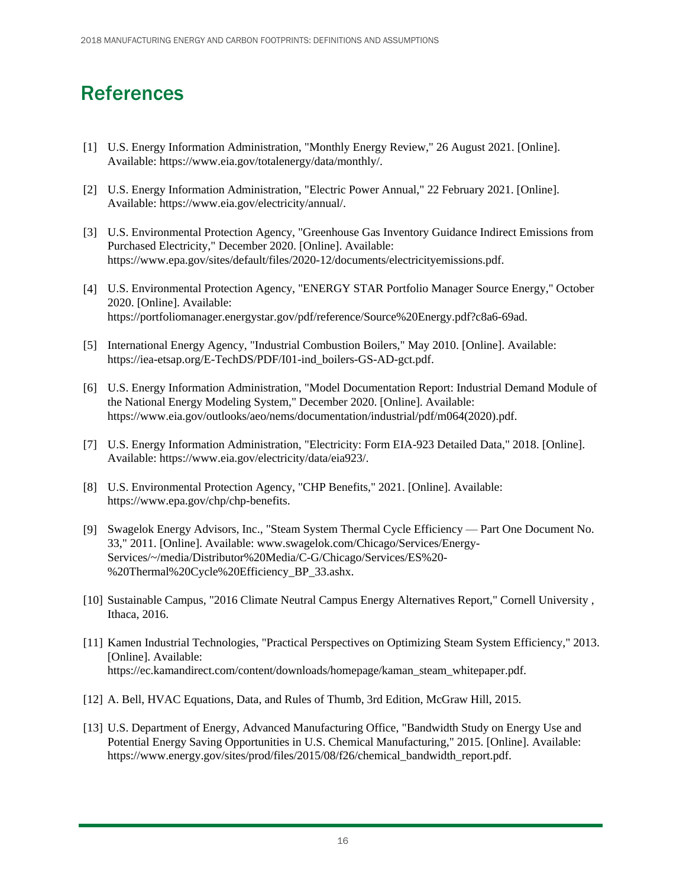### References

- [1] U.S. Energy Information Administration, "Monthly Energy Review," 26 August 2021. [Online]. Available: https://www.eia.gov/totalenergy/data/monthly/.
- [2] U.S. Energy Information Administration, "Electric Power Annual," 22 February 2021. [Online]. Available: https://www.eia.gov/electricity/annual/.
- [3] U.S. Environmental Protection Agency, "Greenhouse Gas Inventory Guidance Indirect Emissions from Purchased Electricity," December 2020. [Online]. Available: https://www.epa.gov/sites/default/files/2020-12/documents/electricityemissions.pdf.
- [4] U.S. Environmental Protection Agency, "ENERGY STAR Portfolio Manager Source Energy," October 2020. [Online]. Available: https://portfoliomanager.energystar.gov/pdf/reference/Source%20Energy.pdf?c8a6-69ad.
- [5] International Energy Agency, "Industrial Combustion Boilers," May 2010. [Online]. Available: https://iea-etsap.org/E-TechDS/PDF/I01-ind\_boilers-GS-AD-gct.pdf.
- [6] U.S. Energy Information Administration, "Model Documentation Report: Industrial Demand Module of the National Energy Modeling System," December 2020. [Online]. Available: https://www.eia.gov/outlooks/aeo/nems/documentation/industrial/pdf/m064(2020).pdf.
- [7] U.S. Energy Information Administration, "Electricity: Form EIA-923 Detailed Data," 2018. [Online]. Available: https://www.eia.gov/electricity/data/eia923/.
- [8] U.S. Environmental Protection Agency, "CHP Benefits," 2021. [Online]. Available: https://www.epa.gov/chp/chp-benefits.
- [9] Swagelok Energy Advisors, Inc., "Steam System Thermal Cycle Efficiency Part One Document No. 33," 2011. [Online]. Available: www.swagelok.com/Chicago/Services/Energy-Services/~/media/Distributor%20Media/C-G/Chicago/Services/ES%20- %20Thermal%20Cycle%20Efficiency\_BP\_33.ashx.
- [10] Sustainable Campus, "2016 Climate Neutral Campus Energy Alternatives Report," Cornell University , Ithaca, 2016.
- [11] Kamen Industrial Technologies, "Practical Perspectives on Optimizing Steam System Efficiency," 2013. [Online]. Available: https://ec.kamandirect.com/content/downloads/homepage/kaman\_steam\_whitepaper.pdf.
- [12] A. Bell, HVAC Equations, Data, and Rules of Thumb, 3rd Edition, McGraw Hill, 2015.
- [13] U.S. Department of Energy, Advanced Manufacturing Office, "Bandwidth Study on Energy Use and Potential Energy Saving Opportunities in U.S. Chemical Manufacturing," 2015. [Online]. Available: https://www.energy.gov/sites/prod/files/2015/08/f26/chemical\_bandwidth\_report.pdf.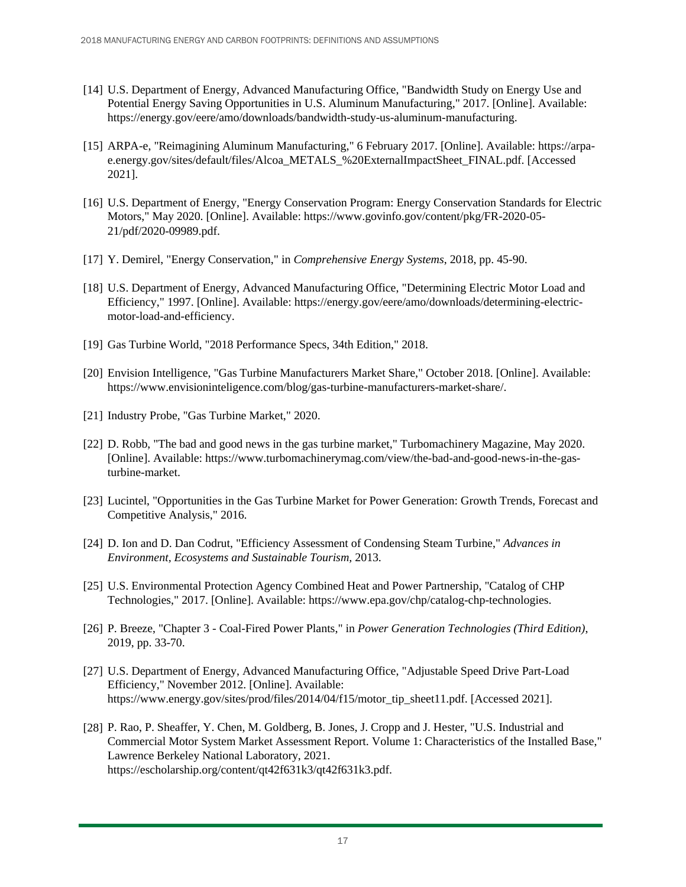- [14] U.S. Department of Energy, Advanced Manufacturing Office, "Bandwidth Study on Energy Use and Potential Energy Saving Opportunities in U.S. Aluminum Manufacturing," 2017. [Online]. Available: https://energy.gov/eere/amo/downloads/bandwidth-study-us-aluminum-manufacturing.
- [15] ARPA-e, "Reimagining Aluminum Manufacturing," 6 February 2017. [Online]. Available: https://arpae.energy.gov/sites/default/files/Alcoa\_METALS\_%20ExternalImpactSheet\_FINAL.pdf. [Accessed 2021].
- [16] U.S. Department of Energy, "Energy Conservation Program: Energy Conservation Standards for Electric Motors," May 2020. [Online]. Available: https://www.govinfo.gov/content/pkg/FR-2020-05- 21/pdf/2020-09989.pdf.
- [17] Y. Demirel, "Energy Conservation," in *Comprehensive Energy Systems*, 2018, pp. 45-90.
- [18] U.S. Department of Energy, Advanced Manufacturing Office, "Determining Electric Motor Load and Efficiency," 1997. [Online]. Available: https://energy.gov/eere/amo/downloads/determining-electricmotor-load-and-efficiency.
- [19] Gas Turbine World, "2018 Performance Specs, 34th Edition," 2018.
- [20] Envision Intelligence, "Gas Turbine Manufacturers Market Share," October 2018. [Online]. Available: https://www.envisioninteligence.com/blog/gas-turbine-manufacturers-market-share/.
- [21] Industry Probe, "Gas Turbine Market," 2020.
- [22] D. Robb, "The bad and good news in the gas turbine market," Turbomachinery Magazine, May 2020. [Online]. Available: https://www.turbomachinerymag.com/view/the-bad-and-good-news-in-the-gasturbine-market.
- [23] Lucintel, "Opportunities in the Gas Turbine Market for Power Generation: Growth Trends, Forecast and Competitive Analysis," 2016.
- [24] D. Ion and D. Dan Codrut, "Efficiency Assessment of Condensing Steam Turbine," *Advances in Environment, Ecosystems and Sustainable Tourism,* 2013.
- [25] U.S. Environmental Protection Agency Combined Heat and Power Partnership, "Catalog of CHP Technologies," 2017. [Online]. Available: https://www.epa.gov/chp/catalog-chp-technologies.
- [26] P. Breeze, "Chapter 3 Coal-Fired Power Plants," in *Power Generation Technologies (Third Edition)*, 2019, pp. 33-70.
- [27] U.S. Department of Energy, Advanced Manufacturing Office, "Adjustable Speed Drive Part-Load Efficiency," November 2012. [Online]. Available: https://www.energy.gov/sites/prod/files/2014/04/f15/motor\_tip\_sheet11.pdf. [Accessed 2021].
- [28] P. Rao, P. Sheaffer, Y. Chen, M. Goldberg, B. Jones, J. Cropp and J. Hester, "U.S. Industrial and Commercial Motor System Market Assessment Report. Volume 1: Characteristics of the Installed Base," Lawrence Berkeley National Laboratory, 2021. https://escholarship.org/content/qt42f631k3/qt42f631k3.pdf.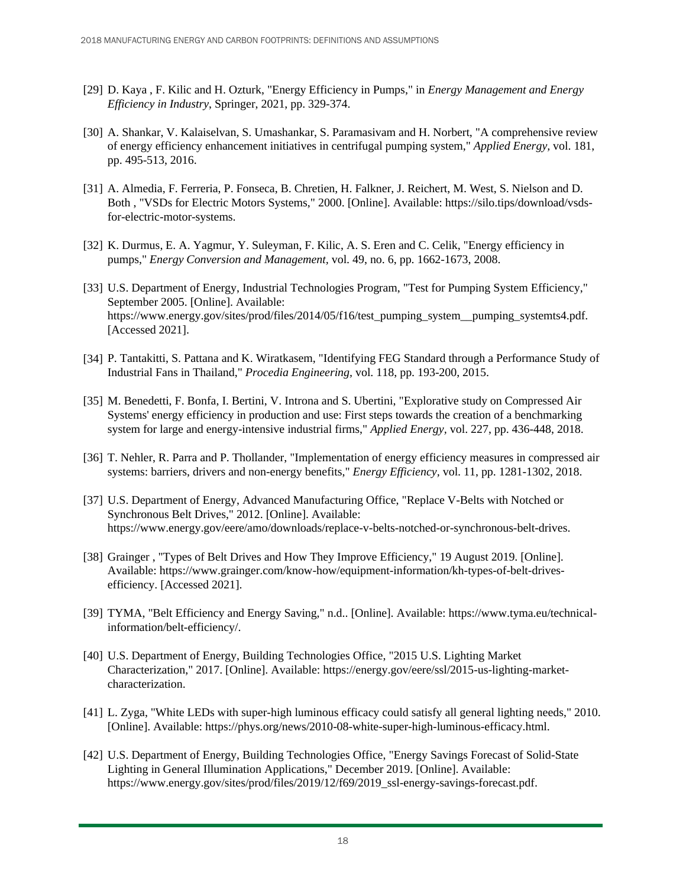- [29] D. Kaya , F. Kilic and H. Ozturk, "Energy Efficiency in Pumps," in *Energy Management and Energy Efficiency in Industry*, Springer, 2021, pp. 329-374.
- [30] A. Shankar, V. Kalaiselvan, S. Umashankar, S. Paramasivam and H. Norbert, "A comprehensive review of energy efficiency enhancement initiatives in centrifugal pumping system," *Applied Energy,* vol. 181, pp. 495-513, 2016.
- [31] A. Almedia, F. Ferreria, P. Fonseca, B. Chretien, H. Falkner, J. Reichert, M. West, S. Nielson and D. Both , "VSDs for Electric Motors Systems," 2000. [Online]. Available: https://silo.tips/download/vsdsfor-electric-motor-systems.
- [32] K. Durmus, E. A. Yagmur, Y. Suleyman, F. Kilic, A. S. Eren and C. Celik, "Energy efficiency in pumps," *Energy Conversion and Management,* vol. 49, no. 6, pp. 1662-1673, 2008.
- [33] U.S. Department of Energy, Industrial Technologies Program, "Test for Pumping System Efficiency," September 2005. [Online]. Available: https://www.energy.gov/sites/prod/files/2014/05/f16/test\_pumping\_system\_\_pumping\_systemts4.pdf. [Accessed 2021].
- [34] P. Tantakitti, S. Pattana and K. Wiratkasem, "Identifying FEG Standard through a Performance Study of Industrial Fans in Thailand," *Procedia Engineering,* vol. 118, pp. 193-200, 2015.
- [35] M. Benedetti, F. Bonfa, I. Bertini, V. Introna and S. Ubertini, "Explorative study on Compressed Air Systems' energy efficiency in production and use: First steps towards the creation of a benchmarking system for large and energy-intensive industrial firms," *Applied Energy,* vol. 227, pp. 436-448, 2018.
- [36] T. Nehler, R. Parra and P. Thollander, "Implementation of energy efficiency measures in compressed air systems: barriers, drivers and non-energy benefits," *Energy Efficiency,* vol. 11, pp. 1281-1302, 2018.
- [37] U.S. Department of Energy, Advanced Manufacturing Office, "Replace V-Belts with Notched or Synchronous Belt Drives," 2012. [Online]. Available: https://www.energy.gov/eere/amo/downloads/replace-v-belts-notched-or-synchronous-belt-drives.
- [38] Grainger , "Types of Belt Drives and How They Improve Efficiency," 19 August 2019. [Online]. Available: https://www.grainger.com/know-how/equipment-information/kh-types-of-belt-drivesefficiency. [Accessed 2021].
- [39] TYMA, "Belt Efficiency and Energy Saving," n.d.. [Online]. Available: https://www.tyma.eu/technicalinformation/belt-efficiency/.
- [40] U.S. Department of Energy, Building Technologies Office, "2015 U.S. Lighting Market Characterization," 2017. [Online]. Available: https://energy.gov/eere/ssl/2015-us-lighting-marketcharacterization.
- [41] L. Zyga, "White LEDs with super-high luminous efficacy could satisfy all general lighting needs," 2010. [Online]. Available: https://phys.org/news/2010-08-white-super-high-luminous-efficacy.html.
- [42] U.S. Department of Energy, Building Technologies Office, "Energy Savings Forecast of Solid-State Lighting in General Illumination Applications," December 2019. [Online]. Available: https://www.energy.gov/sites/prod/files/2019/12/f69/2019\_ssl-energy-savings-forecast.pdf.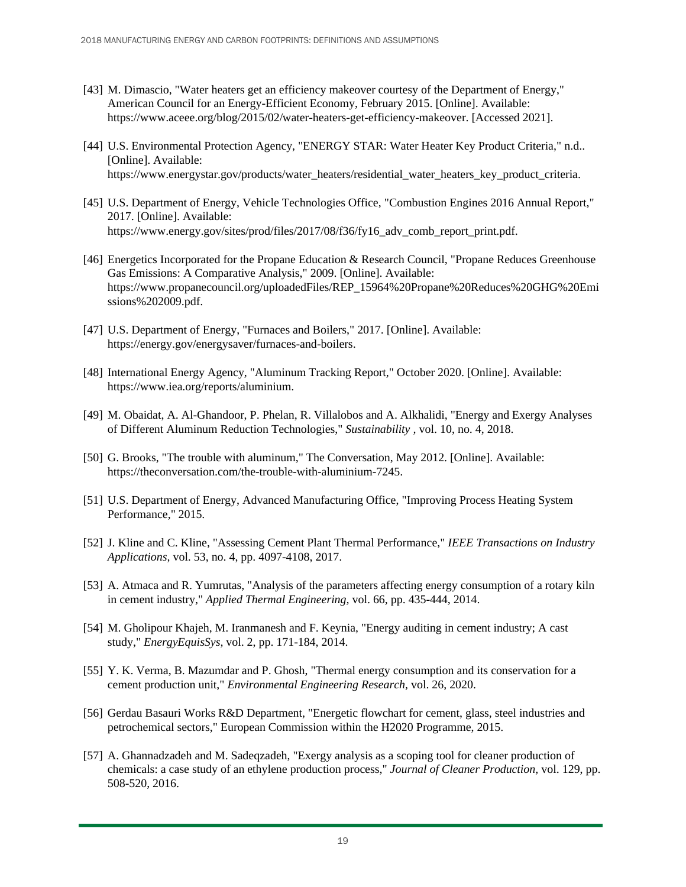- [43] M. Dimascio, "Water heaters get an efficiency makeover courtesy of the Department of Energy," American Council for an Energy-Efficient Economy, February 2015. [Online]. Available: https://www.aceee.org/blog/2015/02/water-heaters-get-efficiency-makeover. [Accessed 2021].
- [44] U.S. Environmental Protection Agency, "ENERGY STAR: Water Heater Key Product Criteria," n.d.. [Online]. Available: https://www.energystar.gov/products/water\_heaters/residential\_water\_heaters\_key\_product\_criteria.
- [45] U.S. Department of Energy, Vehicle Technologies Office, "Combustion Engines 2016 Annual Report," 2017. [Online]. Available: https://www.energy.gov/sites/prod/files/2017/08/f36/fy16\_adv\_comb\_report\_print.pdf.
- [46] Energetics Incorporated for the Propane Education & Research Council, "Propane Reduces Greenhouse Gas Emissions: A Comparative Analysis," 2009. [Online]. Available: https://www.propanecouncil.org/uploadedFiles/REP\_15964%20Propane%20Reduces%20GHG%20Emi ssions%202009.pdf.
- [47] U.S. Department of Energy, "Furnaces and Boilers," 2017. [Online]. Available: https://energy.gov/energysaver/furnaces-and-boilers.
- [48] International Energy Agency, "Aluminum Tracking Report," October 2020. [Online]. Available: https://www.iea.org/reports/aluminium.
- [49] M. Obaidat, A. Al-Ghandoor, P. Phelan, R. Villalobos and A. Alkhalidi, "Energy and Exergy Analyses of Different Aluminum Reduction Technologies," *Sustainability ,* vol. 10, no. 4, 2018.
- [50] G. Brooks, "The trouble with aluminum," The Conversation, May 2012. [Online]. Available: https://theconversation.com/the-trouble-with-aluminium-7245.
- [51] U.S. Department of Energy, Advanced Manufacturing Office, "Improving Process Heating System Performance," 2015.
- [52] J. Kline and C. Kline, "Assessing Cement Plant Thermal Performance," *IEEE Transactions on Industry Applications,* vol. 53, no. 4, pp. 4097-4108, 2017.
- [53] A. Atmaca and R. Yumrutas, "Analysis of the parameters affecting energy consumption of a rotary kiln in cement industry," *Applied Thermal Engineering,* vol. 66, pp. 435-444, 2014.
- [54] M. Gholipour Khajeh, M. Iranmanesh and F. Keynia, "Energy auditing in cement industry; A cast study," *EnergyEquisSys,* vol. 2, pp. 171-184, 2014.
- [55] Y. K. Verma, B. Mazumdar and P. Ghosh, "Thermal energy consumption and its conservation for a cement production unit," *Environmental Engineering Research,* vol. 26, 2020.
- [56] Gerdau Basauri Works R&D Department, "Energetic flowchart for cement, glass, steel industries and petrochemical sectors," European Commission within the H2020 Programme, 2015.
- [57] A. Ghannadzadeh and M. Sadeqzadeh, "Exergy analysis as a scoping tool for cleaner production of chemicals: a case study of an ethylene production process," *Journal of Cleaner Production,* vol. 129, pp. 508-520, 2016.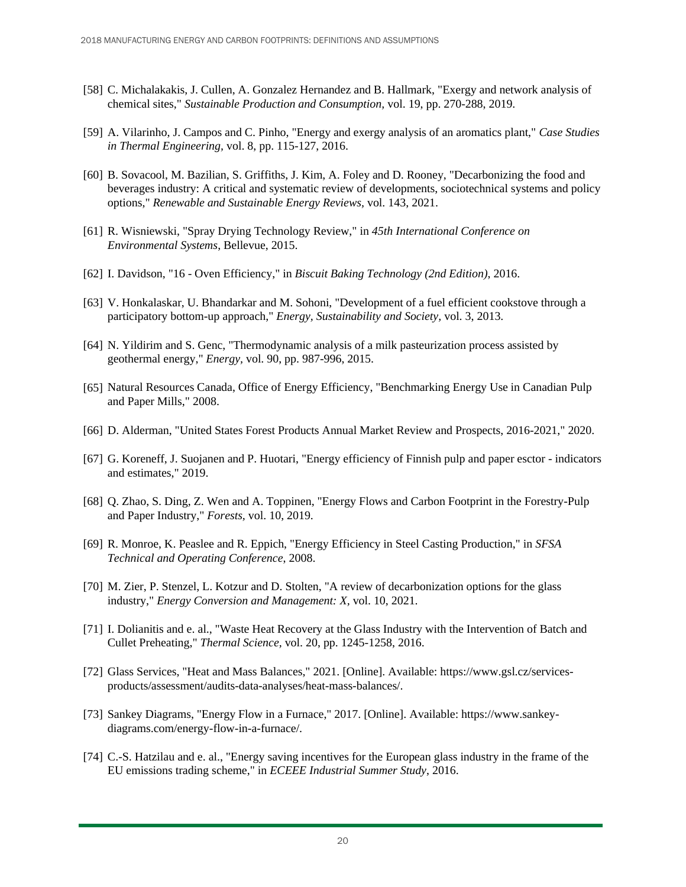- [58] C. Michalakakis, J. Cullen, A. Gonzalez Hernandez and B. Hallmark, "Exergy and network analysis of chemical sites," *Sustainable Production and Consumption,* vol. 19, pp. 270-288, 2019.
- [59] A. Vilarinho, J. Campos and C. Pinho, "Energy and exergy analysis of an aromatics plant," *Case Studies in Thermal Engineering,* vol. 8, pp. 115-127, 2016.
- [60] B. Sovacool, M. Bazilian, S. Griffiths, J. Kim, A. Foley and D. Rooney, "Decarbonizing the food and beverages industry: A critical and systematic review of developments, sociotechnical systems and policy options," *Renewable and Sustainable Energy Reviews,* vol. 143, 2021.
- [61] R. Wisniewski, "Spray Drying Technology Review," in *45th International Conference on Environmental Systems*, Bellevue, 2015.
- [62] I. Davidson, "16 Oven Efficiency," in *Biscuit Baking Technology (2nd Edition)*, 2016.
- [63] V. Honkalaskar, U. Bhandarkar and M. Sohoni, "Development of a fuel efficient cookstove through a participatory bottom-up approach," *Energy, Sustainability and Society,* vol. 3, 2013.
- [64] N. Yildirim and S. Genc, "Thermodynamic analysis of a milk pasteurization process assisted by geothermal energy," *Energy,* vol. 90, pp. 987-996, 2015.
- [65] Natural Resources Canada, Office of Energy Efficiency, "Benchmarking Energy Use in Canadian Pulp and Paper Mills," 2008.
- [66] D. Alderman, "United States Forest Products Annual Market Review and Prospects, 2016-2021," 2020.
- [67] G. Koreneff, J. Suojanen and P. Huotari, "Energy efficiency of Finnish pulp and paper esctor indicators and estimates," 2019.
- [68] Q. Zhao, S. Ding, Z. Wen and A. Toppinen, "Energy Flows and Carbon Footprint in the Forestry-Pulp and Paper Industry," *Forests,* vol. 10, 2019.
- [69] R. Monroe, K. Peaslee and R. Eppich, "Energy Efficiency in Steel Casting Production," in *SFSA Technical and Operating Conference*, 2008.
- [70] M. Zier, P. Stenzel, L. Kotzur and D. Stolten, "A review of decarbonization options for the glass industry," *Energy Conversion and Management: X,* vol. 10, 2021.
- [71] I. Dolianitis and e. al., "Waste Heat Recovery at the Glass Industry with the Intervention of Batch and Cullet Preheating," *Thermal Science,* vol. 20, pp. 1245-1258, 2016.
- [72] Glass Services, "Heat and Mass Balances," 2021. [Online]. Available: https://www.gsl.cz/servicesproducts/assessment/audits-data-analyses/heat-mass-balances/.
- [73] Sankey Diagrams, "Energy Flow in a Furnace," 2017. [Online]. Available: https://www.sankeydiagrams.com/energy-flow-in-a-furnace/.
- [74] C.-S. Hatzilau and e. al., "Energy saving incentives for the European glass industry in the frame of the EU emissions trading scheme," in *ECEEE Industrial Summer Study*, 2016.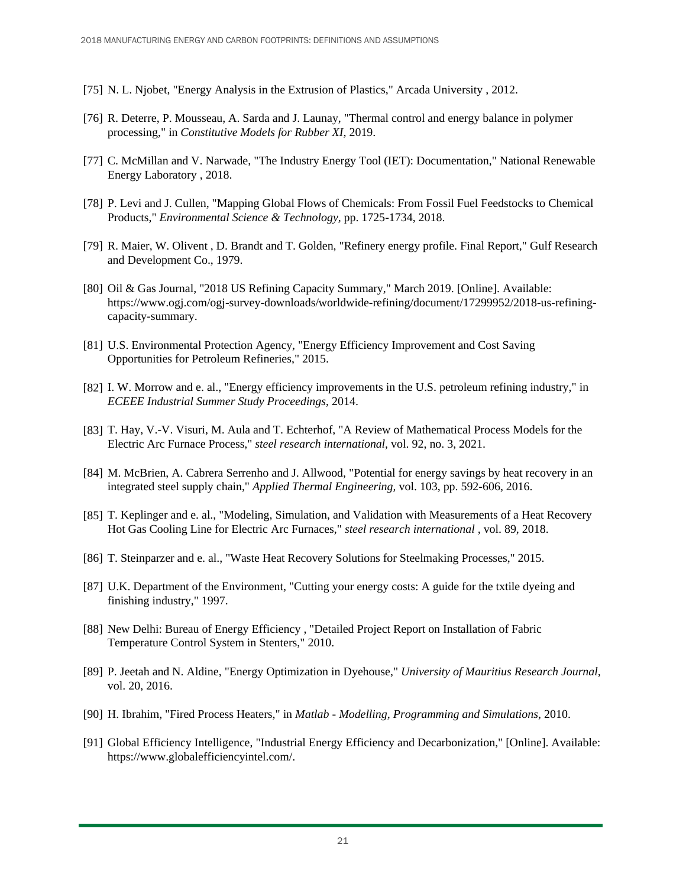- [75] N. L. Njobet, "Energy Analysis in the Extrusion of Plastics," Arcada University , 2012.
- [76] R. Deterre, P. Mousseau, A. Sarda and J. Launay, "Thermal control and energy balance in polymer processing," in *Constitutive Models for Rubber XI*, 2019.
- [77] C. McMillan and V. Narwade, "The Industry Energy Tool (IET): Documentation," National Renewable Energy Laboratory , 2018.
- [78] P. Levi and J. Cullen, "Mapping Global Flows of Chemicals: From Fossil Fuel Feedstocks to Chemical Products," *Environmental Science & Technology,* pp. 1725-1734, 2018.
- [79] R. Maier, W. Olivent , D. Brandt and T. Golden, "Refinery energy profile. Final Report," Gulf Research and Development Co., 1979.
- [80] Oil & Gas Journal, "2018 US Refining Capacity Summary," March 2019. [Online]. Available: https://www.ogj.com/ogj-survey-downloads/worldwide-refining/document/17299952/2018-us-refiningcapacity-summary.
- [81] U.S. Environmental Protection Agency, "Energy Efficiency Improvement and Cost Saving Opportunities for Petroleum Refineries," 2015.
- [82] I. W. Morrow and e. al., "Energy efficiency improvements in the U.S. petroleum refining industry," in *ECEEE Industrial Summer Study Proceedings*, 2014.
- [83] T. Hay, V.-V. Visuri, M. Aula and T. Echterhof, "A Review of Mathematical Process Models for the Electric Arc Furnace Process," *steel research international,* vol. 92, no. 3, 2021.
- [84] M. McBrien, A. Cabrera Serrenho and J. Allwood, "Potential for energy savings by heat recovery in an integrated steel supply chain," *Applied Thermal Engineering,* vol. 103, pp. 592-606, 2016.
- [85] T. Keplinger and e. al., "Modeling, Simulation, and Validation with Measurements of a Heat Recovery Hot Gas Cooling Line for Electric Arc Furnaces," *steel research international ,* vol. 89, 2018.
- [86] T. Steinparzer and e. al., "Waste Heat Recovery Solutions for Steelmaking Processes," 2015.
- [87] U.K. Department of the Environment, "Cutting your energy costs: A guide for the txtile dyeing and finishing industry," 1997.
- [88] New Delhi: Bureau of Energy Efficiency , "Detailed Project Report on Installation of Fabric Temperature Control System in Stenters," 2010.
- [89] P. Jeetah and N. Aldine, "Energy Optimization in Dyehouse," *University of Mauritius Research Journal,* vol. 20, 2016.
- [90] H. Ibrahim, "Fired Process Heaters," in *Matlab - Modelling, Programming and Simulations*, 2010.
- [91] Global Efficiency Intelligence, "Industrial Energy Efficiency and Decarbonization," [Online]. Available: https://www.globalefficiencyintel.com/.